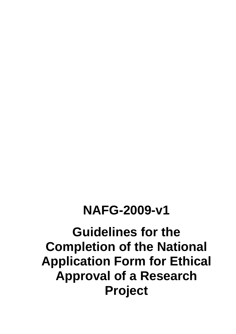# **NAFG-2009-v1**

# **Guidelines for the Completion of the National Application Form for Ethical Approval of a Research Project**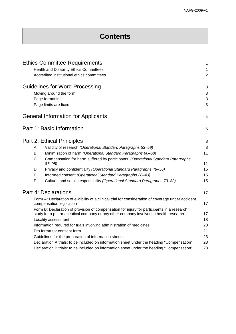# **Contents**

|           | <b>Ethics Committee Requirements</b>                                                                                            | $\mathbf{1}$   |
|-----------|---------------------------------------------------------------------------------------------------------------------------------|----------------|
|           | Health and Disability Ethics Committees                                                                                         | 1              |
|           | Accredited institutional ethics committees                                                                                      | $\overline{2}$ |
|           | <b>Guidelines for Word Processing</b>                                                                                           | 3              |
|           | Moving around the form                                                                                                          | 3              |
|           | Page formatting                                                                                                                 | 3              |
|           | Page limits are fixed                                                                                                           | 3              |
|           | <b>General Information for Applicants</b>                                                                                       | 4              |
|           | Part 1: Basic Information                                                                                                       | 6              |
|           | <b>Part 2: Ethical Principles</b>                                                                                               | 8              |
| А.        | Validity of research (Operational Standard Paragraphs 53-59)                                                                    | 8              |
| <b>B.</b> | Minimisation of harm (Operational Standard Paragraphs 60-68)                                                                    | 11             |
| C.        | Compensation for harm suffered by participants (Operational Standard Paragraphs<br>$87 - 95$                                    | 11             |
| D.        | Privacy and confidentiality (Operational Standard Paragraphs 48-56)                                                             | 15             |
| Ε.        | Informed consent (Operational Standard Paragraphs 28-43)                                                                        | 15             |
| F.        | Cultural and social responsibility (Operational Standard Paragraphs 73-82)                                                      | 15             |
|           | Part 4: Declarations                                                                                                            | 17             |
|           | Form A: Declaration of eligibility of a clinical trial for consideration of coverage under accident<br>compensation legislation | 17             |
|           | Form B: Declaration of provision of compensation for injury for participants in a research                                      |                |
|           | study for a pharmaceutical company or any other company involved in health research                                             | 17             |
|           | Locality assessment                                                                                                             | 18             |
|           | Information required for trials involving administration of medicines.                                                          | 20             |
|           | Pro forma for consent form                                                                                                      | 21             |
|           | Guidelines for the preparation of information sheets                                                                            | 23             |
|           | Declaration A trials: to be included on information sheet under the heading "Compensation"                                      | 28             |
|           | Declaration B trials: to be included on information sheet under the heading "Compensation"                                      | 28             |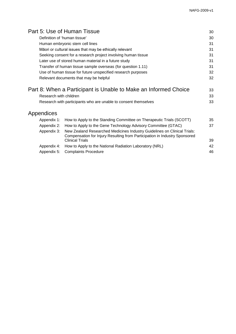|                        | Part 5: Use of Human Tissue                                                                                                                            | 30 |  |  |  |  |
|------------------------|--------------------------------------------------------------------------------------------------------------------------------------------------------|----|--|--|--|--|
|                        | Definition of 'human tissue'                                                                                                                           |    |  |  |  |  |
|                        | Human embryonic stem cell lines                                                                                                                        |    |  |  |  |  |
|                        | Māori or cultural issues that may be ethically relevant                                                                                                | 31 |  |  |  |  |
|                        | Seeking consent for a research project involving human tissue                                                                                          |    |  |  |  |  |
|                        | Later use of stored human material in a future study                                                                                                   | 31 |  |  |  |  |
|                        | Transfer of human tissue sample overseas (for question 1.11)                                                                                           | 31 |  |  |  |  |
|                        | Use of human tissue for future unspecified research purposes                                                                                           | 32 |  |  |  |  |
|                        | Relevant documents that may be helpful                                                                                                                 | 32 |  |  |  |  |
|                        | Part 8: When a Participant is Unable to Make an Informed Choice                                                                                        | 33 |  |  |  |  |
| Research with children |                                                                                                                                                        |    |  |  |  |  |
|                        | Research with participants who are unable to consent themselves                                                                                        |    |  |  |  |  |
| Appendices             |                                                                                                                                                        |    |  |  |  |  |
| Appendix 1:            | How to Apply to the Standing Committee on Therapeutic Trials (SCOTT)                                                                                   | 35 |  |  |  |  |
| Appendix 2:            | How to Apply to the Gene Technology Advisory Committee (GTAC)                                                                                          | 37 |  |  |  |  |
| Appendix 3:            | New Zealand Researched Medicines Industry Guidelines on Clinical Trials:<br>Compensation for Injury Resulting from Participation in Industry Sponsored |    |  |  |  |  |
|                        | <b>Clinical Trials</b>                                                                                                                                 | 39 |  |  |  |  |
| Appendix 4:            | How to Apply to the National Radiation Laboratory (NRL)                                                                                                | 42 |  |  |  |  |
| Appendix 5:            | <b>Complaints Procedure</b>                                                                                                                            | 46 |  |  |  |  |
|                        |                                                                                                                                                        |    |  |  |  |  |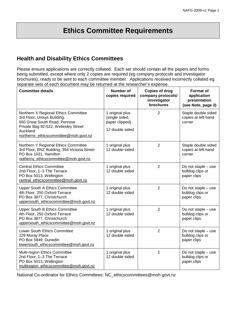# **Ethics Committee Requirements**

# **Health and Disability Ethics Committees**

Please ensure applications are correctly collated. Each set should contain all the papers and forms being submitted, except where only 2 copies are required (eg company protocols and investigator brochures), ready to be sent to each committee member. Applications received incorrectly collated eg separate sets of each document may be returned at the researcher's expense.

| <b>Committee details</b>                                                                                                                                                                          | <b>Number of</b><br>copies required                                    | <b>Copies of drug</b><br>company protocols/<br>investigator<br>brochures | <b>Format of</b><br>application<br>presentation<br>(see Note, page 3) |
|---------------------------------------------------------------------------------------------------------------------------------------------------------------------------------------------------|------------------------------------------------------------------------|--------------------------------------------------------------------------|-----------------------------------------------------------------------|
| Northern X Regional Ethics Committee<br>3rd Floor, Unisys Building,<br>650 Great South Road, Penrose<br>Private Bag 92-522, Wellesley Street<br>Auckland<br>northernx ethicscommittee@moh.govt.nz | 1 original plus<br>(single sided,<br>paper clipped)<br>12 double sided | $\overline{2}$                                                           | Staple double sided<br>copies at left-hand<br>corner                  |
| Northern Y Regional Ethics Committee<br>3rd Floor, BNZ Building, 354 Victoria Street<br>PO Box 1031, Hamilton<br>notherny_ethicscommittee@moh.govt.nz                                             | 1 original plus<br>12 double sided                                     | $\overline{2}$                                                           | Staple double sided<br>copies at left-hand<br>corner                  |
| <b>Central Ethics Committee</b><br>2nd Floor, 1-3 The Terrace<br>PO Box 5013, Wellington<br>central_ethicscommittee@moh.govt.nz                                                                   | 1 original plus<br>12 double sided                                     | $\overline{2}$                                                           | Do not staple - use<br>bulldog clips or<br>paper clips                |
| <b>Upper South A Ethics Committee</b><br>4th Floor, 250 Oxford Terrace<br>PO Box 3877, Christchurch<br>uppersouth ethicscommittee@moh.govt.nz                                                     | 1 original plus<br>12 double sided                                     | $\overline{2}$                                                           | Do not staple - use<br>bulldog clips or<br>paper clips                |
| Upper South B Ethics Committee<br>4th Floor, 250 Oxford Terrace<br>PO Box 3877, Christchurch<br>uppersouth ethicscommittee@moh.govt.nz                                                            | 1 original plus<br>12 double sided                                     | $\overline{2}$                                                           | Do not staple - use<br>bulldog clips or<br>paper clips                |
| Lower South Ethics Committee<br>229 Moray Place<br>PO Box 5849, Dunedin<br>lowersouth ethicscommittee@moh.govt.nz                                                                                 | 1 original plus<br>12 double sided                                     | $\overline{2}$                                                           | Do not staple – use<br>bulldog clips or<br>paper clips                |
| Multi-region Ethics Committee<br>2nd Floor, 1-3 The Terrace<br>PO Box 5013, Wellington<br>multiregion ethicscommittee@moh.govt.nz                                                                 | 1 original plus<br>12 double sided                                     | $\overline{2}$                                                           | Do not staple - use<br>bulldog clips or<br>paper clips                |

National Co-ordinator for Ethics Committees: NC\_ethicscommittees@moh.govt.nz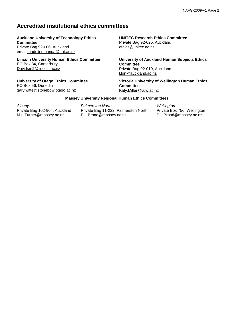# **Accredited institutional ethics committees**

#### **Auckland University of Technology Ethics Committee**

Private Bag 92-006, Auckland email [madeline.banda@aut.ac.nz](mailto:madeline.banda@aut.ac.nz)

**Lincoln University Human Ethics Committee** PO Box 84, Canterbury [Davidsm2@lincoln.ac.nz](mailto:DerbyJ@lincoln.ac.nz)

**University of Otago Ethics Committee** PO Box 56, Dunedin [gary.witte@stonebow.otago.ac.nz](mailto:gary.witte@stonebow.otago.ac.nz)

# **UNITEC Research Ethics Committee**

Private Bag 92-025, Auckland [ethics@unitec.ac.nz](mailto:ethics@unitec.ac.nz)

**University of Auckland Human Subjects Ethics Committee** Private Bag 92-019, Auckland [l.lon@auckland.ac.nz](mailto:l.lon@auckland.ac.nz)

**Victoria University of Wellington Human Ethics Committee** [Katy.Miller@vuw.ac.nz](mailto:Katy.Miller@vuw.ac.nz)

#### **Massey University Regional Human Ethics Committees**

*Albany* Private Bag 102-904, Auckland [M.L.Turner@massey.ac.nz](mailto:M.L.Turner@massey.ac.nz)

*Palmerston North* Private Bag 11-222, Palmerston North [P.L.Broad@massey.ac.nz](mailto:P.L.Broad@massey.ac.nz)

*Wellington* Private Box 756, Wellington [P.L.Broad@massey.ac.nz](mailto:P.L.Broad@massey.ac.nz)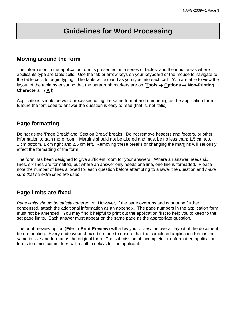# **Guidelines for Word Processing**

# **Moving around the form**

The information in the application form is presented as a series of tables, and the input areas where applicants type are table cells. Use the tab or arrow keys on your keyboard or the mouse to navigate to the table cells to begin typing. The table will expand as you type into each cell. You are able to view the layout of the table by ensuring that the paragraph markers are on (**Tools** → **Options** → **Non-Printing Characters** → **All**).

Applications should be word processed using the same format and numbering as the application form. Ensure the font used to answer the question is easy to read (that is, not italic).

# **Page formatting**

Do *not* delete 'Page Break' and 'Section Break' breaks. Do not remove headers and footers, or other information to gain more room. Margins should not be altered and must be no less than: 1.5 cm top, 1 cm bottom, 1 cm right and 2.5 cm left. Removing these breaks or changing the margins will seriously affect the formatting of the form.

The form has been designed to give sufficient room for your answers. Where an answer needs six lines, six lines are formatted, but where an answer only needs one line, one line is formatted. Please note the number of lines allowed for each question before attempting to answer the question and *make sure that no extra lines are used*.

# **Page limits are fixed**

*Page limits should be strictly adhered to.* However, if the page overruns and cannot be further condensed, attach the additional information as an appendix. The page numbers in the application form must not be amended. You may find it helpful to print out the application first to help you to keep to the set page limits. Each answer must appear on the same page as the appropriate question.

The print preview option (**File** → **Print Preview**) will allow you to view the overall layout of the document before printing. Every endeavour should be made to ensure that the completed application form is the same in size and format as the original form. The submission of incomplete or unformatted application forms to ethics committees will result in delays for the applicant.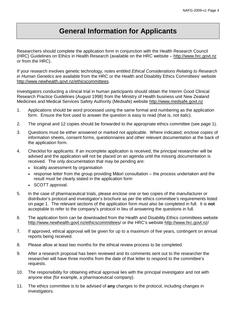# **General Information for Applicants**

Researchers should complete the application form in conjunction with the Health Research Council (HRC) Guidelines on Ethics in Health Research (available on the HRC website – [http://www.hrc.govt.nz](http://www.hrc.govt.nz/) or from the HRC).

If your research involves genetic technology, notes entitled *Ethical Considerations Relating to Research in Human Genetics* are available from the HRC or the Health and Disability Ethics Committees' website [http://www.newhealth.govt.nz/ethicscommittees.](http://www.hewhealth.govt.nz/ethicscommittees)

Investigators conducting a clinical trial in human participants should obtain the Interim Good Clinical Research Practice Guidelines (August 1998) from the Ministry of Health business unit New Zealand Medicines and Medical Services Safety Authority (Medsafe) website [http://www.medsafe.govt.nz](http://www.medsafe.govt.nz/)

- 1. Applications should be word processed using the same format and numbering as the application form. Ensure the font used to answer the question is easy to read (that is, not italic).
- 2. The original and 12 copies should be forwarded to the appropriate ethics committee (see page 1).
- 3. Questions must be either answered or marked not applicable. Where indicated, enclose copies of information sheets, consent forms, questionnaires and other relevant documentation at the back of the application form.
- 4. Checklist for applicants: If an incomplete application is received, the principal researcher will be advised and the application will not be placed on an agenda until the missing documentation is received. The only documentation that may be pending are:
	- locality assessment by organisation
	- response letter from the group providing Māori consultation the process undertaken and the result must be clearly stated in the application form
	- SCOTT approval.
- 5. In the case of pharmaceutical trials, please enclose one or two copies of the manufacturer or distributor's protocol and investigator's brochure as per the ethics committee's requirements listed on page 1. The relevant sections of the application form must also be completed in full. It is **not**  acceptable to refer to the company's protocol in lieu of answering the questions in full.
- 6. The application form can be downloaded from the Health and Disability Ethics committees website [http://www.newhealth.govt.nz/ethicscommittees/](http://www.hewhealth.govt.nz/ethicscommittees) or the HRC's website<http://www.hrc.govt.nz/>
- 7. If approved, ethical approval will be given for up to a maximum of five years, contingent on annual reports being received.
- 8. Please allow at least two months for the ethical review process to be completed.
- 9. After a research proposal has been reviewed and its comments sent out to the researcher the researcher will have three months from the date of that letter to respond to the committee's requests.
- 10. The responsibility for obtaining ethical approval lies with the principal investigator and not with anyone else (for example, a pharmaceutical company).
- 11. The ethics committee is to be advised of **any** changes to the protocol, including changes in investigators.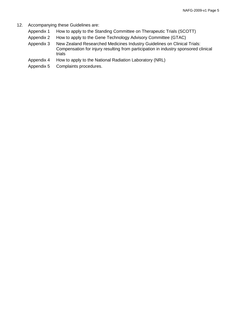- 12. Accompanying these Guidelines are:
	- Appendix 1 How to apply to the Standing Committee on Therapeutic Trials (SCOTT)
	- Appendix 2 How to apply to the Gene Technology Advisory Committee (GTAC)
	- Appendix 3 New Zealand Researched Medicines Industry Guidelines on Clinical Trials: Compensation for injury resulting from participation in industry sponsored clinical trials
	- Appendix 4 How to apply to the National Radiation Laboratory (NRL)
	- Appendix 5 Complaints procedures.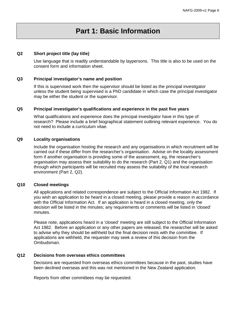# **Part 1: Basic Information**

#### **Q2 Short project title (lay title)**

Use language that is readily understandable by laypersons. This title is also to be used on the consent form and information sheet.

#### **Q3 Principal investigator's name and position**

If this is supervised work then the supervisor should be listed as the principal investigator unless the student being supervised is a PhD candidate in which case the principal investigator may be either the student or the supervisor.

#### **Q5 Principal investigator's qualifications and experience in the past five years**

What qualifications and experience does the principal investigator have in this type of research? Please include a brief biographical statement outlining relevant experience. You do not need to include a curriculum vitae.

#### **Q9 Locality organisations**

Include the organisation hosting the research and any organisations in which recruitment will be carried out if these differ from the researcher's organisation. Advise on the locality assessment form if another organisation is providing some of the assessment, eg, the researcher's organisation may assess their suitability to do the research (Part 2, Q1) and the organisation through which participants will be recruited may assess the suitability of the local research environment (Part 2, Q2).

#### **Q10 Closed meetings**

All applications and related correspondence are subject to the Official Information Act 1982. If you wish an application to be heard in a closed meeting, please provide a reason in accordance with the Official Information Act. If an application is heard in a closed meeting, only the decision will be listed in the minutes; any requirements or comments will be listed in 'closed' minutes.

Please note, applications heard in a 'closed' meeting are still subject to the Official Information Act 1982. Before an application or any other papers are released, the researcher will be asked to advise why they should be withheld but the final decision rests with the committee. If applications are withheld, the requester may seek a review of this decision from the Ombudsman.

#### **Q12 Decisions from overseas ethics committees**

Decisions are requested from overseas ethics committees because in the past, studies have been declined overseas and this was not mentioned in the New Zealand application.

Reports from other committees may be requested.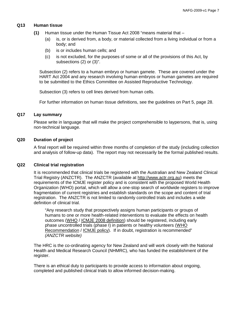#### **Q13 Human tissue**

- **(1)** Human tissue under the Human Tissue Act 2008 "means material that
	- (a) is, or is derived from, a body, or material collected from a living individual or from a body; and
	- (b) is or includes human cells; and
	- (c) is not excluded, for the purposes of some or all of the provisions of this Act, by subsections (2) or (3)".

Subsection (2) refers to a human embryo or human gamete. These are covered under the HART Act 2004 and any research involving human embryos or human gametes are required to be submitted to the Ethics Committee on Assisted Reproductive Technology.

Subsection (3) refers to cell lines derived from human cells.

For further information on human tissue definitions, see the guidelines on Part 5, page 28.

#### **Q17 Lay summary**

Please write in language that will make the project comprehensible to laypersons, that is, using non-technical language.

#### **Q20 Duration of project**

A final report will be required within three months of completion of the study (including collection and analysis of follow-up data). The report may not necessarily be the formal published results.

#### **Q22 Clinical trial registration**

It is recommended that clinical trials be registered with the Australian and New Zealand Clinical Trial Registry (ANZCTR). The ANZCTR (available at [http://www.actr.org.au\)](http://www.actr.org.au/) meets the requirements of the ICMJE register policy and is consistent with the proposed World Health Organization (WHO) portal, which will allow a one-stop search of worldwide registers to improve fragmentation of current registries and establish standards on the scope and content of trial registration. The ANZCTR is not limited to randomly controlled trials and includes a wide definition of clinical trial.

"Any research study that prospectively assigns human participants or groups of humans to one or more health-related interventions to evaluate the effects on health outcomes [\(WHO](http://www.who.int/ictrp/en/) / [ICMJE 2008 definition\)](http://www.anzctr.org.au/docs/Clinical%20trial%20registration%20Laine%20JAMA%20June%204%202007.pdf) should be registered, including early phase uncontrolled trials (phase I) in patients or healthy volunteers [\(WHO](http://www.anzctr.org.au/docs/ICTRP%20Newsletter%20No3%20July%202006.pdf)  [Recommendation](http://www.anzctr.org.au/docs/ICTRP%20Newsletter%20No3%20July%202006.pdf) / [ICMJE policy\)](http://www.anzctr.org.au/docs/Clinical%20trial%20registration%20Laine%20JAMA%20June%204%202007.pdf). If in doubt, registration is recommended" *(ANZCTR website)*

The HRC is the co-ordinating agency for New Zealand and will work closely with the National Health and Medical Research Council (NHMRC), who has funded the establishment of the register.

There is an ethical duty to participants to provide access to information about ongoing, completed and published clinical trials to allow informed decision-making.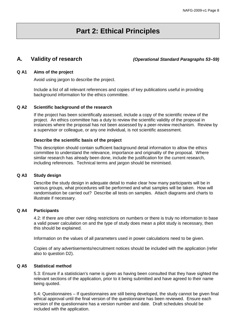# **Part 2: Ethical Principles**

**A. Validity of research** *(Operational Standard Paragraphs 53–59)*

#### **Q A1 Aims of the project**

Avoid using jargon to describe the project.

Include a list of all relevant references and copies of key publications useful in providing background information for the ethics committee.

#### **Q A2 Scientific background of the research**

If the project has been scientifically assessed, include a copy of the scientific review of the project. An ethics committee has a duty to review the scientific validity of the proposal in instances where the proposal has not been assessed by a peer-review mechanism. Review by a supervisor or colleague, or any one individual, is not scientific assessment.

#### **Describe the scientific basis of the project**

This description should contain sufficient background detail information to allow the ethics committee to understand the relevance, importance and originality of the proposal. Where similar research has already been done, include the justification for the current research, including references. Technical terms and jargon should be minimised.

#### **Q A3 Study design**

Describe the study design in adequate detail to make clear how many participants will be in various groups, what procedures will be performed and what samples will be taken. How will randomisation be carried out? Describe all tests on samples. Attach diagrams and charts to illustrate if necessary.

#### **Q A4 Participants**

4.2: If there are other over riding restrictions on numbers or there is truly no information to base a valid power calculation on and the type of study does mean a pilot study is necessary, then this should be explained.

Information on the values of all parameters used in power calculations need to be given.

Copies of any advertisements/recruitment notices should be included with the application (refer also to question D2).

#### **Q A5 Statistical method**

5.3: Ensure if a statistician's name is given as having been consulted that they have sighted the relevant sections of the application, prior to it being submitted and have agreed to their name being quoted.

5.4: Questionnaires – If questionnaires are still being developed, the study cannot be given final ethical approval until the final version of the questionnaire has been reviewed. Ensure each version of the questionnaire has a version number and date. Draft schedules should be included with the application.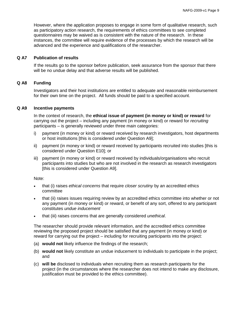However, where the application proposes to engage in some form of qualitative research, such as participatory action research, the requirements of ethics committees to see completed questionnaires may be waived as is consistent with the nature of the research. In these instances, the committee will require evidence of the processes by which the research will be advanced and the experience and qualifications of the researcher.

#### **Q A7 Publication of results**

If the results go to the sponsor before publication, seek assurance from the sponsor that there will be no undue delay and that adverse results will be published.

#### **Q A8 Funding**

Investigators and their host institutions are entitled to adequate and reasonable reimbursement for their own time on the project. All funds should be paid to a specified account.

#### **Q A9 Incentive payments**

In the context of research, the **ethical issue of payment (in money or kind) or reward** for carrying out the project – including any payment (in money or kind) or reward for *recruiting* participants – is generally reviewed under three main categories:

- i) payment (in money or kind) or reward received by research investigators, host departments or host institutions [this is considered under Question A9];
- ii) payment (in money or kind) or reward received by participants recruited into studies [this is considered under Question E10]; or
- iii) payment (in money or kind) or reward received by individuals/organisations who recruit participants into studies but who are not involved in the research as research investigators [this is considered under Question A9].

Note:

- that (i) raises *ethical concerns* that require *closer scrutiny* by an accredited ethics committee
- that (ii) raises issues requiring review by an accredited ethics committee into whether or not any payment (in money or kind) or reward, or benefit of any sort, offered to any participant constitutes *undue inducement*
- that (iii) raises concerns that are generally considered *unethical*.

The researcher should provide relevant information, and the accredited ethics committee reviewing the proposed project should be satisfied that any payment (in money or kind) or reward for carrying out the project – including for recruiting participants into the project:

- (a) **would not** likely influence the findings of the research;
- (b) **would not** likely constitute an undue inducement to individuals to participate in the project; and
- (c) **will be** disclosed to individuals when recruiting them as research participants for the project (in the circumstances where the researcher does not intend to make any disclosure, justification must be provided to the ethics committee).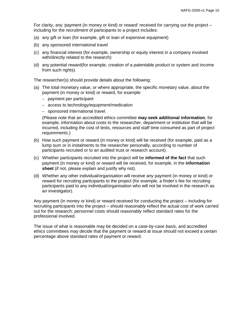For clarity, any 'payment (in money or kind) or reward' received for carrying out the project – including for the recruitment of participants to a project includes:

- (a) any gift or loan (for example, gift or loan of expensive equipment)
- (b) any sponsored international travel
- (c) any financial interest (for example, ownership or equity interest in a company involved with/directly related to the research)
- (d) any potential reward(for example, creation of a patentable product or system and income from such rights).

The researcher(s) should provide details about the following:

- (a) The total monetary value, or where appropriate, the specific monetary value, about the payment (in money or kind) or reward, for example:
	- payment per participant
	- access to technology/equipment/medication
	- sponsored international travel.

(Please note that an accredited ethics committee **may seek additional information**, for example, information about costs to the researcher, department or institution that will be incurred, including the cost of tests, resources and staff time consumed as part of project requirements.)

- (b) How such payment or reward (in money or kind) will be received (for example, paid as a lump sum or in instalments to the researcher personally, according to number of participants recruited or to an audited trust or research account).
- (c) Whether participants recruited into the project will be **informed of the fact** that such payment (in money or kind) or reward will be received, for example, in the **information sheet** (if not, please explain and justify why not).
- (d) Whether any other individual/organisation will receive any payment (in money or kind) or reward for recruiting participants to the project (for example, a finder's fee for recruiting participants paid to any individual/organisation who will not be involved in the research as an investigator).

Any payment (in money or kind) or reward received for conducting the project – including for recruiting participants into the project – should *reasonably* reflect the actual cost of work carried out for the research; personnel costs should reasonably reflect standard rates for the professional involved.

The issue of what is reasonable may be decided on a *case-by-case basis*, and accredited ethics committees may decide that the payment or reward at issue should not exceed a certain percentage above standard rates of payment or reward.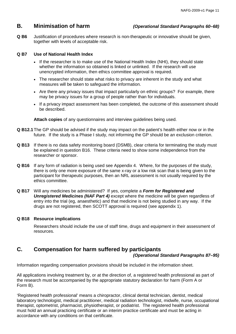## **B. Minimisation of harm** *(Operational Standard Paragraphs 60–68)*

**Q B6** Justification of procedures where research is non-therapeutic or innovative should be given, together with levels of acceptable risk.

#### **Q B7 Use of National Health Index**

- If the researcher is to make use of the National Health Index (NHI), they should state whether the information so obtained is linked or unlinked. If the research will use unencrypted information, then ethics committee approval is required.
- The researcher should state what risks to privacy are inherent in the study and what measures will be taken to safeguard the information.
- Are there any privacy issues that impact particularly on ethnic groups? For example, there may be privacy issues for a group of people rather than for individuals.
- If a privacy impact assessment has been completed, the outcome of this assessment should be described.

**Attach copies** of any questionnaires and interview guidelines being used.

- **Q B12.1**The GP should be advised if the study may impact on the patient's health either now or in the future. If the study is a Phase I study, not informing the GP should be an exclusion criterion.
- **Q B13** If there is no data safety monitoring board (DSMB), clear criteria for terminating the study must be explained in question B16. These criteria need to show some independence from the researcher or sponsor.
- **Q B16** If any form of radiation is being used see Appendix 4. Where, for the purposes of the study, there is only one more exposure of the same x-ray or a low risk scan that is being given to the participant for therapeutic purposes, then an NRL assessment is not usually required by the ethics committee.
- **Q B17** Will any medicines be administered? If yes, complete a *Form for Registered and*  **Unregistered Medicines (NAF Part 4)** except where the medicine will be given regardless of entry into the trial (eg, anaesthetic) and that medicine is not being studied in any way. If the drugs are not registered, then SCOTT approval is required (see appendix 1).

#### **Q B18 Resource implications**

Researchers should include the use of staff time, drugs and equipment in their assessment of resources.

# **C. Compensation for harm suffered by participants**

#### *(Operational Standard Paragraphs 87–95)*

Information regarding compensation provisions should be included in the information sheet.

All applications involving treatment by, or at the direction of, a registered health professional as part of the research must be accompanied by the appropriate statutory declaration for harm (Form A or Form B).

'Registered health professional' means a chiropractor, clinical dental technician, dentist, medical laboratory technologist, medical practitioner, medical radiation technologist, midwife, nurse, occupational therapist, optometrist, pharmacist, physiotherapist, or podiatrist. The registered health professional must hold an annual practicing certificate or an interim practice certificate and must be acting in accordance with any conditions on that certificate.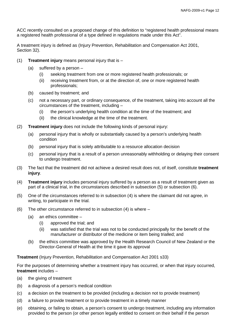ACC recently consulted on a proposed change of this definition to "registered health professional means a registered health professional of a type defined in regulations made under this Act".

A treatment injury is defined as (Injury Prevention, Rehabilitation and Compensation Act 2001, Section 32).

- (1) **Treatment injury** means personal injury that is
	- (a) suffered by a person
		- (i) seeking treatment from one or more registered health professionals; or
		- (ii) receiving treatment from, or at the direction of, one or more registered health professionals;
	- (b) caused by treatment; and
	- (c) not a necessary part, or ordinary consequence, of the treatment, taking into account all the circumstances of the treatment, including –
		- (i) the person's underlying health condition at the time of the treatment; and
		- (ii) the clinical knowledge at the time of the treatment.
- (2) **Treatment injury** does not include the following kinds of personal injury:
	- (a) personal injury that is wholly or substantially caused by a person's underlying health condition
	- (b) personal injury that is solely attributable to a resource allocation decision
	- (c) personal injury that is a result of a person unreasonably withholding or delaying their consent to undergo treatment.
- (3) The fact that the treatment did not achieve a desired result does not, of itself, constitute **treatment injury**.
- (4) **Treatment injury** includes personal injury suffered by a person as a result of treatment given as part of a clinical trial, in the circumstances described in subsection (5) or subsection (6).
- (5) One of the circumstances referred to in subsection (4) is where the claimant did not agree, in writing, to participate in the trial.
- (6) The other circumstance referred to in subsection  $(4)$  is where  $-$ 
	- (a) an ethics committee
		- (i) approved the trial; and
		- (ii) was satisfied that the trial was not to be conducted principally for the benefit of the manufacturer or distributor of the medicine or item being trialled; and
	- (b) the ethics committee was approved by the Health Research Council of New Zealand or the Director-General of Health at the time it gave its approval

**Treatment** (Injury Prevention, Rehabilitation and Compensation Act 2001 s33)

For the purposes of determining whether a treatment injury has occurred, or when that injury occurred, **treatment** includes –

- (a) the giving of treatment
- (b) a diagnosis of a person's medical condition
- (c) a decision on the treatment to be provided (including a decision not to provide treatment)
- (d) a failure to provide treatment or to provide treatment in a timely manner
- (e) obtaining, or failing to obtain, a person's consent to undergo treatment, including any information provided to the person (or other person legally entitled to consent on their behalf if the person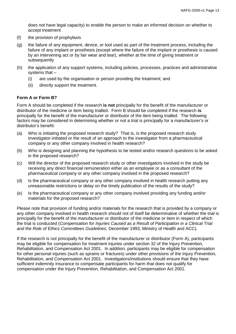does not have legal capacity) to enable the person to make an informed decision on whether to accept treatment

- (f) the provision of prophylaxis
- (g) the failure of any equipment, device, or tool used as part of the treatment process, including the failure of any implant or prosthesis (except where the failure of the implant or prosthesis is caused by an intervening act or by fair wear and tear), whether at the time of giving treatment or subsequently
- (h) the application of any support systems, including policies, processes, practices and administrative systems that –
	- (i) are used by the organisation or person providing the treatment; and
	- (ii) directly support the treatment.

#### **Form A or Form B?**

Form A should be completed if the research **is not** principally for the benefit of the manufacturer or distributor of the medicine or item being trialled. Form B should be completed if the research **is** principally for the benefit of the manufacturer or distributor of the item being trialled. The following factors may be considered in determining whether or not a trial is principally for a manufacturer's or distributor's benefit:

- (a) Who is initiating the proposed research study? That is, is the proposed research study investigator-initiated or the result of an approach to the investigator from a pharmaceutical company or any other company involved in health research?
- (b) Who is designing and planning the hypothesis to be tested and/or research questions to be asked in the proposed research?
- (c) Will the director of the proposed research study or other investigators involved in the study be receiving any direct financial remuneration either as an employee or as a consultant of the pharmaceutical company or any other company involved in the proposed research?
- (d) Is the pharmaceutical company or any other company involved in health research putting any unreasonable restrictions or delay on the timely publication of the results of the study?
- (e) Is the pharmaceutical company or any other company involved providing any funding and/or materials for the proposed research?

Please note that provision of funding and/or materials for the research that is provided by a company or any other company involved in health research should not of itself be determinative of whether the trial is principally for the benefit of the manufacturer or distributor of the medicine or item in respect of which the trial is conducted (*Compensation for Injuries Caused as a Result of Participation in a Clinical Trial and the Role of Ethics Committees Guidelines*, December 1993, Ministry of Health and ACC).

If the research is not principally for the benefit of the manufacturer or distributor (Form A), participants may be eligible for compensation for treatment injuries under section 32 of the Injury Prevention, Rehabilitation, and Compensation Act 2001. In addition, participants may be eligible for compensation for other personal injuries (such as sprains or fractures) under other provisions of the Injury Prevention, Rehabilitation, and Compensation Act 2001. Investigators/institutions should ensure that they have sufficient indemnity insurance to compensate participants for harm that does not qualify for compensation under the Injury Prevention, Rehabilitation, and Compensation Act 2001.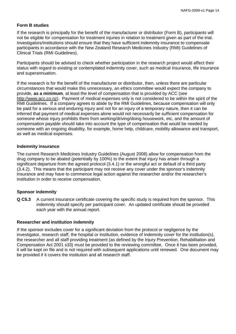#### **Form B studies**

If the research is principally for the benefit of the manufacturer or distributor (Form B), participants will not be eligible for compensation for treatment injuries in relation to treatment given as part of the trial. Investigators/institutions should ensure that they have sufficient indemnity insurance to compensate participants in accordance with the New Zealand Research Medicines Industry (RMI) Guidelines of Clinical Trials (RMI Guidelines).

Participants should be advised to check whether participation in the research project would affect their status with regard to existing or contemplated indemnity cover, such as medical insurance, life insurance and superannuation.

If the research is for the benefit of the manufacturer or distributor, then, unless there are particular circumstances that would make this unnecessary, an ethics committee would expect the company to provide, **as a minimum**, at least the level of compensation that is provided by ACC (see [http://www.acc.co.nz\)](http://www.acc.co.nz/). Payment of medical expenses only is not considered to be within the spirit of the RMI Guidelines. If a company agrees to abide by the RMI Guidelines, because compensation will only be paid for a serious and enduring injury and not for an injury of a temporary nature, then it can be inferred that payment of medical expenses alone would not necessarily be sufficient compensation for someone whose injury prohibits them from working/driving/doing housework, etc, and the amount of compensation payable should take into account the type of compensation that would be needed by someone with an ongoing disability, for example, home help, childcare, mobility allowance and transport, as well as medical expenses.

#### **Indemnity insurance**

The current Research Medicines Industry Guidelines (August 2008) allow for compensation from the drug company to be abated (potentially by 100%) to the extent that injury has arisen through a significant departure from the agreed protocol (3.4.1) or the wrongful act or default of a third party (3.4.2). This means that the participant may not receive any cover under the sponsor's indemnity insurance and may have to commence legal action against the researcher and/or the researcher's institution in order to receive compensation.

#### **Sponsor indemnity**

**Q C5.3** A current insurance certificate covering the specific study is required from the sponsor. This indemnity should specify per participant cover. An updated certificate should be provided each year with the annual report.

#### **Researcher and institution indemnity**

If the sponsor excludes cover for a significant deviation from the protocol or negligence by the investigator, research staff, the hospital or institution, evidence of indemnity cover for the institution(s), the researcher and all staff providing treatment (as defined by the Injury Prevention, Rehabilitation and Compensation Act 2001 s33) must be provided to the reviewing committee. Once it has been provided, it will be kept on file and is not required with subsequent applications until renewed. One document may be provided if it covers the institution and all research staff.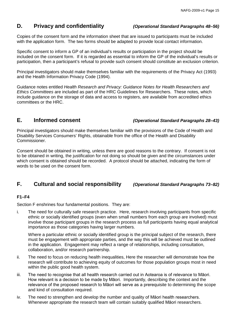# **D. Privacy and confidentiality** *(Operational Standard Paragraphs 48–56)*

Copies of the consent form and the information sheet that are issued to participants must be included with the application form. The two forms should be adapted to provide local contact information.

Specific consent to inform a GP of an individual's results or participation in the project should be included on the consent form. If it is regarded as essential to inform the GP of the individual's results or participation, then a participant's refusal to provide such consent should constitute an exclusion criterion.

Principal investigators should make themselves familiar with the requirements of the Privacy Act (1993) and the Health Information Privacy Code (1994).

Guidance notes entitled *Health Research and Privacy: Guidance Notes for Health Researchers and Ethics Committees* are included as part of the HRC Guidelines for Researchers. These notes, which include guidance on the storage of data and access to registers, are available from accredited ethics committees or the HRC.

# **E. Informed consent** *(Operational Standard Paragraphs 28–43)*

Principal investigators should make themselves familiar with the provisions of the Code of Health and Disability Services Consumers' Rights, obtainable from the office of the Health and Disability Commissioner.

Consent should be obtained in writing, unless there are good reasons to the contrary. If consent is not to be obtained in writing, the justification for not doing so should be given and the circumstances under which consent is obtained should be recorded. A protocol should be attached, indicating the form of words to be used on the consent form.

# **F. Cultural and social responsibility** *(Operational Standard Paragraphs 73–82)*

### **F1–F4**

Section F enshrines four fundamental positions. They are:

i. The need for culturally safe research practice. Here, research involving participants from specific ethnic or socially identified groups (even when small numbers from each group are involved) must involve those participant groups in the research process as full participants having equal analytical importance as those categories having larger numbers.

Where a particular ethnic or socially identified group is the principal subject of the research, there must be engagement with appropriate parties, and the way this will be achieved must be outlined in the application. Engagement may reflect a range of relationships, including consultation, collaboration, and/or research partnership.

- ii. The need to focus on reducing health inequalities, Here the researcher will demonstrate how the research will contribute to achieving equity of outcomes for those population groups most in need within the public good health system.
- iii. The need to recognise that all health research carried out in Aotearoa is of relevance to Māori. How relevant is a decision to be made by Māori. Importantly, describing the context and the relevance of the proposed research to Māori will serve as a prerequisite to determining the scope and kind of consultation required.
- iv. The need to strengthen and develop the number and quality of Māori health researchers. Whenever appropriate the research team will contain suitably qualified Māori researchers.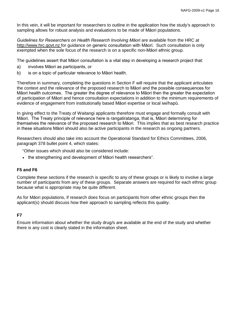In this vein, it will be important for researchers to outline in the application how the study's approach to sampling allows for robust analysis and evaluations to be made of Māori populations.

*Guidelines for Researchers on Health Research Involving Māori* are available from the HRC at http:/[/www.hrc.govt.nz](http://www.hrc.govt.nz/) for guidance on generic consultation with Māori. Such consultation is only exempted when the sole focus of the research is on a specific non-Māori ethnic group.

The guidelines assert that Māori consultation is a vital step in developing a research project that:

- a) involves Māori as participants, or
- b) is on a topic of particular relevance to Māori health.

Therefore in summary, completing the questions in Section F will require that the applicant articulates the context and the relevance of the proposed research to Māori and the possible consequences for Māori health outcomes. The greater the degree of relevance to Māori then the greater the expectation of participation of Māori and hence consultation expectations in addition to the minimum requirements of evidence of engagement from institutionally based Māori expertise or local iwi/hapū.

In giving effect to the Treaty of Waitangi applicants therefore must engage and formally consult with Māori. The Treaty principle of relevance here is rangatiratanga, that is, Māori determining for themselves the relevance of the proposed research to Māori. This implies that as best research practice in these situations Māori should also be active participants in the research as ongoing partners.

Researchers should also take into account the Operational Standard for Ethics Committees, 2006, paragraph 378 bullet point 4, which states:

"Other issues which should also be considered include:

• the strengthening and development of Māori health researchers".

#### **F5 and F6**

Complete these sections if the research is specific to any of these groups or is likely to involve a large number of participants from any of these groups. Separate answers are required for each ethnic group because what is appropriate may be quite different.

As for Māori populations, if research does focus on participants from other ethnic groups then the applicant(s) should discuss how their approach to sampling reflects this quality.

#### **F7**

Ensure information about whether the study drug/s are available at the end of the study and whether there is any cost is clearly stated in the information sheet.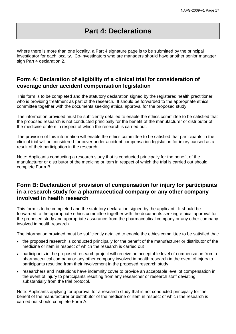# **Part 4: Declarations**

Where there is more than one locality, a Part 4 signature page is to be submitted by the principal investigator for each locality. Co-investigators who are managers should have another senior manager sign Part 4 declaration 2.

# **Form A: Declaration of eligibility of a clinical trial for consideration of coverage under accident compensation legislation**

This form is to be completed and the statutory declaration signed by the registered health practitioner who is providing treatment as part of the research. It should be forwarded to the appropriate ethics committee together with the documents seeking ethical approval for the proposed study.

The information provided must be sufficiently detailed to enable the ethics committee to be satisfied that the proposed research is not conducted principally for the benefit of the manufacturer or distributor of the medicine or item in respect of which the research is carried out.

The provision of this information will enable the ethics committee to be satisfied that participants in the clinical trial will be considered for cover under accident compensation legislation for injury caused as a result of their participation in the research.

Note: Applicants conducting a research study that is conducted principally for the benefit of the manufacturer or distributor of the medicine or item in respect of which the trial is carried out should complete Form B.

# **Form B: Declaration of provision of compensation for injury for participants in a research study for a pharmaceutical company or any other company involved in health research**

This form is to be completed and the statutory declaration signed by the applicant. It should be forwarded to the appropriate ethics committee together with the documents seeking ethical approval for the proposed study and appropriate assurance from the pharmaceutical company or any other company involved in health research.

The information provided must be sufficiently detailed to enable the ethics committee to be satisfied that:

- the proposed research is conducted principally for the benefit of the manufacturer or distributor of the medicine or item in respect of which the research is carried out
- participants in the proposed research project will receive an acceptable level of compensation from a pharmaceutical company or any other company involved in health research in the event of injury to participants resulting from their involvement in the proposed research study.
- researchers and institutions have indemnity cover to provide an acceptable level of compensation in the event of injury to participants resulting from any researcher or research staff deviating substantially from the trial protocol.

Note: Applicants applying for approval for a research study that is not conducted principally for the benefit of the manufacturer or distributor of the medicine or item in respect of which the research is carried out should complete Form A.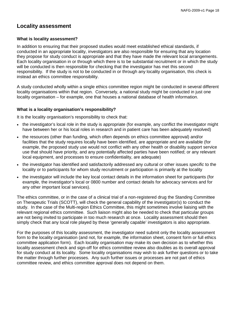# **Locality assessment**

#### **What is locality assessment?**

In addition to ensuring that their proposed studies would meet established ethical standards, if conducted in an appropriate locality, investigators are also responsible for ensuring that any location they propose for study conduct is appropriate and that they have made the relevant local arrangements. Each locality organisation in or through which there is to be substantial recruitment or in which the study will be conducted is then responsible for checking that the investigator has met this second responsibility. If the study is not to be conducted in or through any locality organisation, this check is instead an ethics committee responsibility.

A study conducted wholly within a single ethics committee region might be conducted in several different locality organisations within that region. Conversely, a national study might be conducted in just one locality organisation – for example, one that houses a national database of health information.

#### **What is a locality organisation's responsibility?**

It is the locality organisation's responsibility to check that:

- the investigator's local role in the study is appropriate (for example, any conflict the investigator might have between her or his local roles in research and in patient care has been adequately resolved)
- the resources (other than funding, which often depends on ethics committee approval) and/or facilities that the study requires locally have been identified, are appropriate and are available (for example, the proposed study use would not conflict with any other health or disability support service use that should have priority, and any potentially affected parties have been notified; or any relevant local equipment, and processes to ensure confidentiality, are adequate)
- the investigator has identified and satisfactorily addressed any cultural or other issues *specific* to the locality or to participants for whom study recruitment or participation is primarily at the locality
- the investigator will include the key local contact details in the information sheet for participants (for example, the investigator's local or 0800 number and contact details for advocacy services and for any other important local services).

The ethics committee, or in the case of a clinical trial of a non-registered drug the Standing Committee on Therapeutic Trials (SCOTT), will check the general capability of the investigator(s) to conduct the study. In the case of the Multi-region Ethics Committee, this might sometimes involve liaising with the relevant regional ethics committee. Such liaison might also be needed to check that particular groups are not being invited to participate in too much research at once. Locality assessment should then simply check that any local role played by these 'generally capable' investigators is also appropriate.

For the purposes of this locality assessment, the investigator need submit only the locality assessment form to the locality organisation (and not, for example, the information sheet, consent form or full ethics committee application form). Each locality organisation may make its own decision as to whether this locality assessment check and sign-off for ethics committee review also doubles as its overall approval for study conduct at its locality. Some locality organisations may wish to ask further questions or to take the matter through further processes. Any such further issues or processes are not part of ethics committee review, and ethics committee approval does not depend on them.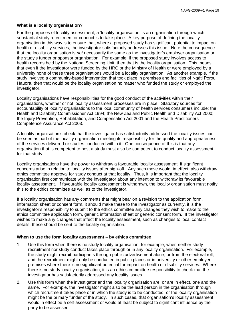#### **What is a locality organisation?**

For the purposes of locality assessment, a 'locality organisation' is an organisation through which substantial study recruitment or conduct is to take place. A key purpose of defining the locality organisation in this way is to ensure that, where a proposed study has significant potential to impact on health or disability services, the investigator satisfactorily addresses this issue. Note the consequence that the locality organisation is *not* necessarily the same as the investigator's employer organisation or the study's funder or sponsor organisation. For example, if the proposed study involves access to health records held by the National Screening Unit, then that is the locality organisation. This means that even if the investigator were funded by the HRC or the Ministry of Health or were employed by a university none of these three organisations would be a locality organisation. As another example, if the study involved a community-based intervention that took place in premises and facilities of Ngāti Porou Hauora, then that would be the locality organisation no matter who funded the study or employed the investigator.

Locality organisations have responsibilities for the good conduct of the activities within their organisations, whether or not locality assessment processes are in place. Statutory sources for accountability of locality organisations to the local community of health services consumers include: the Health and Disability Commissioner Act 1994; the New Zealand Public Health and Disability Act 2000; the Injury Prevention, Rehabilitation, and Compensation Act 2001 and the Health Practitioners Competence Assurance Act 2003.

A locality organisation's check that the investigator has satisfactorily addressed the locality issues can be seen as part of the locality organisation meeting its responsibility for the quality and appropriateness of the services delivered or studies conducted within it. One consequence of this is that any organisation that is competent to host a study must also be competent to conduct locality assessment for that study.

Locality organisations have the power to withdraw a favourable locality assessment, if significant concerns arise in relation to locality issues after sign-off. Any such move would, in effect, also withdraw ethics committee approval for study conduct at that locality. Thus, it is important that the locality organisation first communicate with the investigator about any intention to withdraw its favourable locality assessment. If favourable locality assessment is withdrawn, the locality organisation must notify this to the ethics committee as well as to the investigator.

If a locality organisation has any comments that might bear on a revision to the application form, information sheet or consent form, it should make these to the investigator as currently, it is the investigator's responsibility to submit to the ethics committee any changes they wish to make to the ethics committee application form, generic information sheet or generic consent form. If the investigator wishes to make any changes that affect the locality assessment, such as changes to local contact details, these should be sent to the locality organisation.

#### **When to use the form locality assessment – by ethics committee**

- 1. Use this form when there is no study locality organisation, for example, when neither study recruitment nor study conduct takes place through or in any locality organisation. For example, the study might recruit participants through public advertisement alone, or from the electoral roll, and the recruitment might only be conducted in public places or in university or other employer premises where there is no significant potential for impact on health or disability services. Where there is no study locality organisation, it is an ethics committee responsibility to check that the investigator has satisfactorily addressed any locality issues.
- 2. Use this form when the investigator and the locality organisation are, or are in effect, one and the same. For example, the investigator might also be the lead person in the organisation through which recruitment takes place or in which the study is to be conducted; or the locality organisation might be the primary funder of the study. In such cases, that organisation's locality assessment would in effect be a self-assessment or would at least be subject to significant influence by the party to be assessed.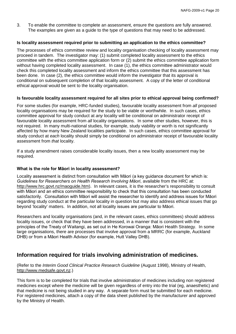3. To enable the committee to complete an assessment, ensure the questions are fully answered. The examples are given as a guide to the type of questions that may need to be addressed.

#### **Is locality assessment required prior to submitting an application to the ethics committee?**

The processes of ethics committee review and locality organisation checking of locality assessment may proceed in tandem. The investigator may: (1) submit completed locality assessment to the ethics committee with the ethics committee application form or (2) submit the ethics committee application form without having completed locality assessment. In case (1), the ethics committee administrator would check this completed locality assessment and inform the ethics committee that this assessment has been done. In case (2), the ethics committee would inform the investigator that its approval is conditional on subsequent completion of that locality assessment. A copy of the letter of conditional ethical approval would be sent to the locality organisation.

#### **Is favourable locality assessment required for all sites prior to ethical approval being confirmed?**

For some studies (for example, HRC-funded studies), favourable locality assessment from *all* proposed locality organisations may be required for the study to be viable or worthwhile. In such cases, ethics committee approval for study conduct at *any* locality will be conditional on administrator receipt of favourable locality assessment from *all* locality organisations. In some other studies, however, this is not required. In many multi-national studies, for example, study viability or worth is not significantly affected by how many New Zealand localities participate. In such cases, ethics committee approval for study conduct at *each* locality should simply be conditional on administrator receipt of favourable locality assessment from *that* locality.

If a study amendment raises considerable locality issues, then a new locality assessment may be required.

#### **What is the role for Māori in locality assessment?**

Locality assessment is distinct from consultation with Māori (a key guidance document for which is: *Guidelines for Researchers on Health Research Involving Māori*, available from the HRC at: [http://www.hrc.govt.nz/maoguide.htm\)](http://www.hrc.govt.nz/maoguide.htm). In relevant cases, it is the researcher's responsibility to consult with Māori and an ethics committee responsibility to check that this consultation has been conducted satisfactorily. Consultation with Māori will assist the researcher to identify and address issues for Māori regarding study conduct at the particular locality in question but may also address ethical issues that go beyond 'locality' matters. In addition, not all locality issues are particular to Māori.

Researchers and locality organisations (and, in the relevant cases, ethics committees) should address locality issues, or check that they have been addressed, in a manner that is consistent with the principles of the Treaty of Waitangi, as set out in He Korowai Oranga: Māori Health Strategy. In some large organisations, there are processes that involve approval from a MRRC (for example, Auckland DHB) or from a Māori Health Advisor (for example, Hutt Valley DHB).

## **Information required for trials involving administration of medicines.**

(Refer to the *Interim Good Clinical Practice Research Guideline* (August 1998), Ministry of Health, [http://www.medsafe.govt.nz.](http://www.medsafe.govt.nz/))

This form is to be completed for trials that involve administration of medicines including non registered medicines except where the medicine will be given regardless of entry into the trial (eg, anaesthetic) and that medicine is not being studied in any way. A separate form must be submitted for each medicine. For registered medicines, attach a copy of the data sheet published by the manufacturer and approved by the Ministry of Health.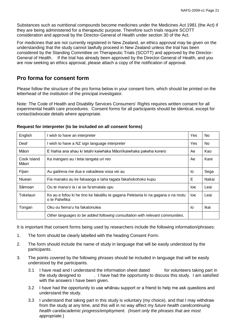Substances such as nutritional compounds become medicines under the Medicines Act 1981 (the Act) if they are being administered for a therapeutic purpose. Therefore such trials require SCOTT consideration and approval by the Director-General of Health under section 30 of the Act.

For medicines that are not currently registered in New Zealand, an ethics approval may be given on the understanding that the study cannot lawfully proceed in New Zealand unless the trial has been considered by the Standing Committee on Therapeutic Trials (SCOTT) and approved by the Director-General of Health. If the trial has already been approved by the Director-General of Health, and you are now seeking an ethics approval, please attach a copy of the notification of approval.

# **Pro forma for consent form**

Please follow the structure of the pro forma below in your consent form, which should be printed on the letterhead of the institution of the principal investigator.

Note: The Code of Health and Disability Services Consumers' Rights requires written consent for all experimental health care procedures. Consent forms for all participants should be identical, except for contact/advocate details where appropriate.

| English                                                                                                       | I wish to have an interpreter                                                 | Yes | No.            |
|---------------------------------------------------------------------------------------------------------------|-------------------------------------------------------------------------------|-----|----------------|
| Deaf                                                                                                          | I wish to have a NZ sign language interpreter                                 | Yes | N <sub>o</sub> |
| Māori                                                                                                         | E hiahia ana ahau ki tetahi kaiwhaka Māori/kaiwhaka pakeha korero             | Ae  | Kao            |
| Cook Island<br>Māori                                                                                          | Ae<br>Ka inangaro au i tetai tangata uri reo                                  |     | Kare           |
| Fijian                                                                                                        | Au gadreva me dua e vakadewa vosa vei au<br>lo                                |     | Sega           |
| Niuean                                                                                                        | Fia manako au ke fakaaoga e taha tagata fakahokohoko kupu                     |     | Nakai          |
| Sāmoan                                                                                                        | Ou te mana'o ia i ai se fa'amatala upu                                        | loe | Leai           |
| Tokelaun<br>Ko au e fofou ki he tino ke fakaliliu te gagana Peletania ki na gagana o na motu<br>o te Pahefika |                                                                               | loe | Leai           |
| Tongan                                                                                                        | Oku ou fiema'u ha fakatonulea                                                 | Ιo  | Ikai           |
|                                                                                                               | Other languages to be added following consultation with relevant communities. |     |                |

#### **Request for interpreter (to be included on all consent forms)**

It is important that consent forms being used by researchers include the following information/phrases:

- 1. The form should be clearly labelled with the heading Consent Form.
- 2. The form should include the name of study in language that will be easily understood by the participants.
- 3. The points covered by the following phrases should be included in language that will be easily understood by the participants.
	- 3.1 I have read and I understand the information sheet dated for volunteers taking part in the study designed to . I have had the opportunity to discuss this study. I am satisfied with the answers I have been given.
	- 3.2 I have had the opportunity to use whānau support or a friend to help me ask questions and understand the study.
	- 3.3 I understand that taking part in this study is voluntary (my choice), and that I may withdraw from the study at any time, and this will in no way affect my *future health carel* continuing *health care***/***academic progress/employment. (Insert only the phrases that are most appropriate.*)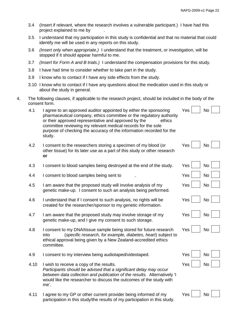- 3.4 (Insert if relevant, where the research involves a vulnerable participant.) I have had this project explained to me by .
- 3.5 I understand that my participation in this study is confidential and that no material that could identify me will be used in any reports on this study.
- 3.6 *(Insert only when appropriate.)* I understand that the treatment, or investigation, will be stopped if it should appear harmful to me.
- 3.7 *(Insert for Form A and B trials.)* I understand the compensation provisions for this study.
- 3.8 I have had time to consider whether to take part in the study.
- 3.9 I know who to contact if I have any side effects from the study.
- 3.10 I know who to contact if I have any questions about the medication used in this study or about the study in general.
- 4. The following clauses, if applicable to the research project, should be included in the body of the consent form.
	- 4.1 I agree to an approved auditor appointed by either the sponsoring Yes  $\vert$  No pharmaceutical company, ethics committee or the regulatory authority or their approved representative and approved by the ethics committee reviewing my relevant medical records for the sole purpose of checking the accuracy of the information recorded for the study.
	- 4.2 I consent to the researchers storing a specimen of my blood (or other tissue) for its later use as a part of this study or other research **or**
	- 4.3 I consent to blood samples being destroyed at the end of the study.
	- 4.4 I consent to blood samples being sent to
	- 4.5 I am aware that the proposed study will involve analysis of my genetic make-up. I consent to such an analysis being performed.
	- 4.6 I understand that if I consent to such analysis, no rights will be created for the researcher/sponsor to my genetic information.
	- 4.7 I am aware that the proposed study may involve storage of my genetic make-up, and I give my consent to such storage.
	- 4.8 I consent to my DNA/tissue sample being stored for future research into (*specific research, for example, diabetes, heart*) subject to ethical approval being given by a New Zealand-accredited ethics committee.
	- 4.9 I consent to my interview being audiotaped/videotaped. The No | No |
	- 4.10 I wish to receive a copy of the results. The No Yes No Yes No *Participants should be advised that a significant delay may occur between data collection and publication of the results.* Alternatively 'I would like the researcher to discuss the outcomes of the study with me'.
	- 4.11 I agree to my GP or other current provider being informed of my participation in this study/the results of my participation in this study.

| $Yes$ No $\Box$                                                                     |                                        |
|-------------------------------------------------------------------------------------|----------------------------------------|
| $Yes$ No $\Box$                                                                     |                                        |
| Yes $\Box$ No $\Box$                                                                |                                        |
| Yes $\begin{array}{ c c } \hline \quad\quad \quad \mathsf{No} \ \hline \end{array}$ |                                        |
| $Yes \ \blacksquare$ No $\blacksquare$                                              |                                        |
|                                                                                     | $V_{\alpha\alpha}$ $N_{\alpha}$ $\Box$ |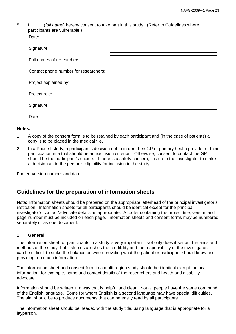| 5. | (full name) hereby consent to take part in this study. (Refer to Guidelines where |  |
|----|-----------------------------------------------------------------------------------|--|
|    | participants are vulnerable.)                                                     |  |

| Date:                                 |  |
|---------------------------------------|--|
| Signature:                            |  |
| Full names of researchers:            |  |
| Contact phone number for researchers: |  |
| Project explained by:                 |  |
| Project role:                         |  |
| Signature:                            |  |
| Date:                                 |  |

#### **Notes:**

- 1. A copy of the consent form is to be retained by each participant and (in the case of patients) a copy is to be placed in the medical file.
- 2. In a Phase I study, a participant's decision not to inform their GP or primary health provider of their participation in a trial should be an exclusion criterion. Otherwise, consent to contact the GP should be the participant's choice. If there is a safety concern, it is up to the investigator to make a decision as to the person's eligibility for inclusion in the study.

Footer: version number and date.

# **Guidelines for the preparation of information sheets**

Note: Information sheets should be prepared on the appropriate letterhead of the principal investigator's institution. Information sheets for all participants should be identical except for the principal investigator's contact/advocate details as appropriate. A footer containing the project title, version and page number must be included on each page. Information sheets and consent forms may be numbered separately or as one document.

#### **1. General**

The information sheet for participants in a study is very important. Not only does it set out the aims and methods of the study, but it also establishes the credibility and the responsibility of the investigator. It can be difficult to strike the balance between providing what the patient or participant should know and providing too much information.

The information sheet and consent form in a multi-region study should be identical except for local information, for example, name and contact details of the researchers and health and disability advocate.

Information should be written in a way that is helpful and clear. Not all people have the same command of the English language. Some for whom English is a second language may have special difficulties. The aim should be to produce documents that can be easily read by all participants.

The information sheet should be headed with the study title, using language that is appropriate for a layperson.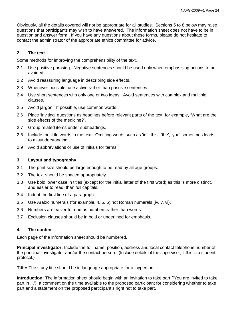Obviously, all the details covered will not be appropriate for all studies. Sections 5 to 8 below may raise questions that participants may wish to have answered. The information sheet does not have to be in question and answer form. If you have any questions about these forms, please do not hesitate to contact the administrator of the appropriate ethics committee for advice.

#### **2. The text**

Some methods for improving the comprehensibility of the text.

- 2.1 Use positive phrasing. Negative sentences should be used only when emphasising actions to be avoided.
- 2.2 Avoid reassuring language in describing side effects.
- 2.3 Whenever possible, use active rather than passive sentences.
- 2.4 Use short sentences with only one or two ideas. Avoid sentences with complex and multiple clauses.
- 2.5 Avoid jargon. If possible, use common words.
- 2.6 Place 'inviting' questions as headings before relevant parts of the text, for example, 'What are the side effects of the medicine?'.
- 2.7 Group related items under subheadings.
- 2.8 Include the little words in the text. Omitting words such as 'in', 'this', 'the', 'you' sometimes leads to misunderstanding.
- 2.9 Avoid abbreviations or use of initials for terms.

#### **3. Layout and typography**

- 3.1 The print size should be large enough to be read by all age groups.
- 3.2 The text should be spaced appropriately.
- 3.3 Use bold lower case in titles (except for the initial letter of the first word) as this is more distinct, and easier to read, than full capitals.
- 3.4 Indent the first line of a paragraph.
- 3.5 Use Arabic numerals (for example, 4, 5, 6) not Roman numerals (iv, v, vi).
- 3.6 Numbers are easier to read as numbers rather than words.
- 3.7 Exclusion clauses should be in bold or underlined for emphasis.

#### **4. The content**

Each page of the information sheet should be numbered.

**Principal investigator:** Include the full name, position, address and local contact telephone number of the principal investigator and/or the contact person. (Include details of the supervisor, if this is a student protocol.)

**Title:** The study title should be in language appropriate for a layperson.

**Introduction:** The information sheet should begin with an invitation to take part ('You are invited to take part in ...'), a comment on the time available to the proposed participant for considering whether to take part and a statement on the proposed participant's right not to take part.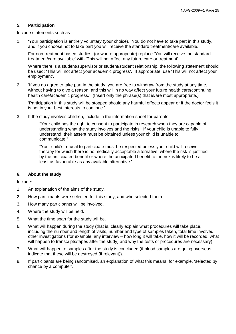#### **5. Participation**

Include statements such as:

1. 'Your participation is entirely voluntary (your choice). You do not have to take part in this study, and if you choose not to take part you will receive the standard treatment/care available.'

For non-treatment based studies, (or where appropriate) replace 'You will receive the standard treatment/care available' with 'This will not affect any future care or treatment'.

Where there is a student/supervisor or student/student relationship, the following statement should be used: 'This will not affect your academic progress'. If appropriate, use 'This will not affect your employment'.

2. 'If you do agree to take part in the study, you are free to withdraw from the study at any time, without having to give a reason, and this will in no way affect your future health care**/**continuing health care**/**academic progress.' (Insert only the phrase(s) that is/are most appropriate.)

'Participation in this study will be stopped should any harmful effects appear or if the doctor feels it is not in your best interests to continue.'

3. If the study involves children, include in the information sheet for parents:

"Your child has the right to consent to participate in research when they are capable of understanding what the study involves and the risks. If your child is unable to fully understand, their assent must be obtained unless your child is unable to communicate."

"Your child's refusal to participate must be respected unless your child will receive therapy for which there is no medically acceptable alternative, where the risk is justified by the anticipated benefit or where the anticipated benefit to the risk is likely to be at least as favourable as any available alternative."

#### **6. About the study**

Include:

- 1. An explanation of the aims of the study.
- 2. How participants were selected for this study, and who selected them.
- 3. How many participants will be involved.
- 4. Where the study will be held.
- 5. What the time span for the study will be.
- 6. What will happen during the study (that is, clearly explain what procedures will take place, including the number and length of visits, number and type of samples taken, total time involved, other investigations (for example, any interview – how long it will take, how it will be recorded, what will happen to transcripts/tapes after the study) and why the tests or procedures are necessary).
- 7. What will happen to samples after the study is concluded (if blood samples are going overseas indicate that these will be destroyed (if relevant)).
- 8. If participants are being randomised, an explanation of what this means, for example, 'selected by chance by a computer'.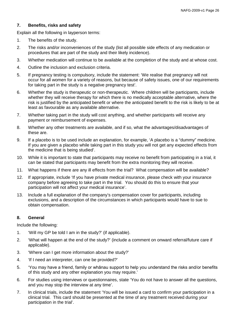#### **7. Benefits, risks and safety**

Explain all the following in layperson terms:

- 1. The benefits of the study.
- 2. The risks and/or inconveniences of the study (list all possible side effects of any medication or procedures that are part of the study and their likely incidence).
- 3. Whether medication will continue to be available at the completion of the study and at whose cost.
- 4. Outline the inclusion and exclusion criteria.
- 5. If pregnancy testing is compulsory, include the statement: 'We realise that pregnancy will not occur for all women for a variety of reasons, but because of safety issues, one of our requirements for taking part in the study is a negative pregnancy test'.
- 6. Whether the study is therapeutic or non-therapeutic. Where children will be participants, include whether they will receive therapy for which there is no medically acceptable alternative, where the risk is justified by the anticipated benefit or where the anticipated benefit to the risk is likely to be at least as favourable as any available alternative.
- 7. Whether taking part in the study will cost anything, and whether participants will receive any payment or reimbursement of expenses.
- 8. Whether any other treatments are available, and if so, what the advantages/disadvantages of these are.
- 9. If a placebo is to be used include an explanation, for example, 'A placebo is a "dummy" medicine. If you are given a placebo while taking part in this study you will not get any expected effects from the medicine that is being studied'.
- 10. While it is important to state that participants may receive no benefit from participating in a trial, it can be stated that participants may benefit from the extra monitoring they will receive.
- 11. What happens if there are any ill effects from the trial? What compensation will be available?
- 12. If appropriate, include 'If you have private medical insurance, please check with your insurance company before agreeing to take part in the trial. You should do this to ensure that your participation will not affect your medical insurance'.
- 13. Include a full explanation of the company's compensation cover for participants, including exclusions, and a description of the circumstances in which participants would have to sue to obtain compensation.

#### **8. General**

Include the following:

- 1. 'Will my GP be told I am in the study?' (if applicable).
- 2. 'What will happen at the end of the study?' (include a comment on onward referral/future care if applicable).
- 3. 'Where can I get more information about the study?'
- 4. 'If I need an interpreter, can one be provided?'
- 5. 'You may have a friend, family or whānau support to help you understand the risks and/or benefits of this study and any other explanation you may require.'
- 6. For studies using interviews or questionnaires, state 'You do not have to answer all the questions, and you may stop the interview at any time'.
- 7. In clinical trials, include the statement 'You will be issued a card to confirm your participation in a clinical trial. This card should be presented at the time of any treatment received during your participation in the trial'.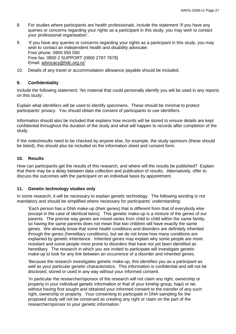- 8. For studies where participants are health professionals, include the statement 'If you have any queries or concerns regarding your rights as a participant in this study, you may wish to contact your professional organisation'.
- 9. 'If you have any queries or concerns regarding your rights as a participant in this study, you may wish to contact an independent health and disability advocate: Free phone: 0800 555 050 Free fax: 0800 2 SUPPORT (0800 2787 7678) Email: [advocacy@hdc.org.nz'](mailto:advocacy@hdc.org.nz)
- 10. Details of any travel or accommodation allowance payable should be included.

#### **9. Confidentiality**

Include the following statement: 'No material that could personally identify you will be used in any reports on this study'.

Explain what identifiers will be used to identify specimens. These should be minimal to protect participants' privacy. You should obtain the consent of participants to use identifiers.

Information should also be included that explains how records will be stored to ensure details are kept confidential throughout the duration of the study and what will happen to records after completion of the study.

If the notes/results need to be checked by anyone else, for example, the study sponsors (these should be listed), this should also be included on the information sheet and consent form.

#### **10. Results**

How can participants get the results of this research, and where will the results be published? Explain that there may be a delay between data collection and publication of results. Alternatively, offer to discuss the outcomes with the participant on an individual basis by appointment.

#### **11. Genetic technology studies only**

In some research, it will be necessary to explain genetic technology. The following wording is not mandatory and should be simplified where necessary for participants' understanding:

'Each person has a DNA make-up (their genes) that is different from that of everybody else (except in the case of identical twins). This genetic make-up is a mixture of the genes of our parents. The precise way genes are mixed varies from child to child within the same family, so having the same parents does not mean that two children will have exactly the same genes. We already know that some health conditions and disorders are definitely inherited through the genes (hereditary conditions), but we do not know how many conditions are explained by genetic inheritance. Inherited genes may explain why some people are more resistant and some people more prone to disorders that have not yet been identified as hereditary. The research in which you are invited to participate will investigate genetic make-up to look for any link between an occurrence of a disorder and inherited genes.

'Because the research investigates genetic make-up, this identifies you as a participant as well as your particular genetic characteristics. This information is confidential and will not be disclosed, stored or used in any way without your informed consent.

'In particular the researcher/sponsor of the research will not claim any right, ownership or property in your individual genetic information or that of your kinship group, hapū or iwi, without having first sought and obtained your informed consent to the transfer of any such right, ownership or property. Your consenting to participate in DNA sampling for the proposed study will not be construed as creating any right or claim on the part of the researcher/sponsor to your genetic information.'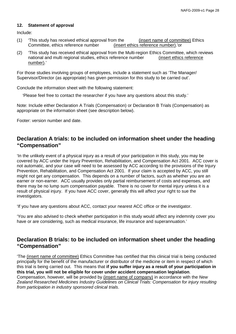#### **12. Statement of approval**

Include:

- (1) This study has received ethical approval from the (insert name of committee) Ethics<br>Committee, ethics reference number (insert ethics reference number).'or Committee, ethics reference number
- (2) 'This study has received ethical approval from the Multi-region Ethics Committee, which reviews national and multi regional studies, ethics reference number (insert ethics reference number).'

For those studies involving groups of employees, include a statement such as 'The Manager/ Supervisor/Director (as appropriate) has given permission for this study to be carried out'.

Conclude the information sheet with the following statement:

'Please feel free to contact the researcher if you have any questions about this study.'

Note: Include either Declaration A Trials (Compensation) or Declaration B Trials (Compensation) as appropriate on the information sheet (see description below).

Footer: version number and date.

# **Declaration A trials: to be included on information sheet under the heading "Compensation"**

'In the unlikely event of a physical injury as a result of your participation in this study, you may be covered by ACC under the Injury Prevention, Rehabilitation, and Compensation Act 2001. ACC cover is not automatic, and your case will need to be assessed by ACC according to the provisions of the Injury Prevention, Rehabilitation, and Compensation Act 2001. If your claim is accepted by ACC, you still might not get any compensation. This depends on a number of factors, such as whether you are an earner or non-earner. ACC usually provides only partial reimbursement of costs and expenses, and there may be no lump sum compensation payable. There is no cover for mental injury unless it is a result of physical injury. If you have ACC cover, generally this will affect your right to sue the investigators.

'If you have any questions about ACC, contact your nearest ACC office or the investigator.

'You are also advised to check whether participation in this study would affect any indemnity cover you have or are considering, such as medical insurance, life insurance and superannuation.'

# **Declaration B trials: to be included on information sheet under the heading "Compensation"**

'The (insert name of committee) Ethics Committee has certified that this clinical trial is being conducted principally for the benefit of the manufacturer or distributor of the medicine or item in respect of which this trial is being carried out. This means that **if you suffer injury as a result of your participation in this trial, you will not be eligible for cover under accident compensation legislation**. Compensation, however, will be provided by (insert name of company) in accordance with the *New Zealand Researched Medicines Industry Guidelines on Clinical Trials: Compensation for injury resulting from participation in industry sponsored clinical trials*.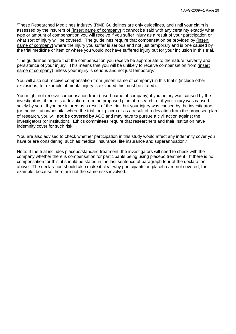'These Researched Medicines Industry (RMI) Guidelines are only guidelines, and until your claim is assessed by the insurers of (insert name of company) it cannot be said with any certainty exactly what type or amount of compensation you will receive if you suffer injury as a result of your participation or what sort of injury will be covered. The guidelines require that compensation be provided by (insert name of company) where the injury you suffer is serious and not just temporary and is one caused by the trial medicine or item or where you would not have suffered injury but for your inclusion in this trial.

'The guidelines require that the compensation you receive be appropriate to the nature, severity and persistence of your injury. This means that you will be unlikely to receive compensation from (insert name of company) unless your injury is serious and not just temporary.'

You will also not receive compensation from (insert name of company) in this trial if (include other exclusions, for example, if mental injury is excluded this must be stated).

You might not receive compensation from (insert name of company) if your injury was caused by the investigators, if there is a deviation from the proposed plan of research, or if your injury was caused solely by you. If you are injured as a result of the trial, but your injury was caused by the investigators (or the institution/hospital where the trial took place) or as a result of a deviation from the proposed plan of research, you will **not be covered by** ACC and may have to pursue a civil action against the investigators (or institution). Ethics committees require that researchers and their institution have indemnity cover for such risk.

'You are also advised to check whether participation in this study would affect any indemnity cover you have or are considering, such as medical insurance, life insurance and superannuation.'

Note: If the trial includes placebo/standard treatment, the investigators will need to check with the company whether there is compensation for participants being using placebo treatment. If there is no compensation for this, it should be stated in the last sentence of paragraph four of the declaration above. The declaration should also make it clear why participants on placebo are not covered, for example, because there are not the same risks involved.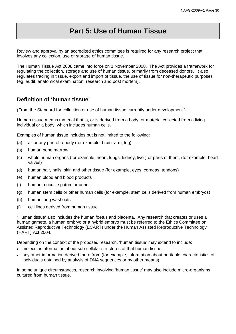# **Part 5: Use of Human Tissue**

Review and approval by an accredited ethics committee is required for any research project that involves any collection, use or storage of human tissue.

The Human Tissue Act 2008 came into force on 1 November 2008. The Act provides a framework for regulating the collection, storage and use of human tissue, primarily from deceased donors. It also regulates trading in tissue, export and import of tissue, the use of tissue for non-therapeutic purposes (eg, audit, anatomical examination, research and post mortem).

# **Definition of 'human tissue'**

(From the Standard for collection or use of human tissue currently under development.)

Human tissue means material that is, or is derived from a body, or material collected from a living individual or a body, which includes human cells.

Examples of human tissue includes but is not limited to the following:

- (a) all or any part of a body (for example, brain, arm, leg)
- (b) human bone marrow
- (c) whole human organs (for example, heart, lungs, kidney, liver) or parts of them, (for example, heart valves)
- (d) human hair, nails, skin and other tissue (for example, eyes, corneas, tendons)
- (e) human blood and blood products
- (f) human mucus, sputum or urine
- (g) human stem cells or other human cells (for example, stem cells derived from human embryos)
- (h) human lung washouts
- (i) cell lines derived from human tissue.

"Human tissue' also includes the human foetus and placenta. Any research that creates or uses a human gamete, a human embryo or a hybrid embryo must be referred to the Ethics Committee on Assisted Reproductive Technology (ECART) under the Human Assisted Reproductive Technology (HART) Act 2004.

Depending on the context of the proposed research, 'human tissue' may extend to include:

- molecular information about sub-cellular structures of that human tissue
- any other information derived there from (for example, information about heritable characteristics of individuals obtained by analysis of DNA sequences or by other means).

In some unique circumstances, research involving 'human tissue' may also include micro-organisms cultured from human tissue.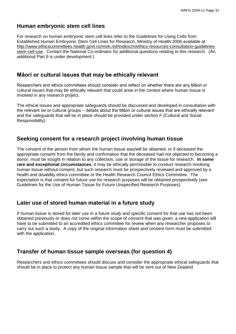# **Human embryonic stem cell lines**

For research on human embryonic stem cell lines refer to the Guidelines for Using Cells from Established Human Embryonic Stem Cell Lines for Research, Ministry of Health 2006 available at [http://www.ethicscommittees.health.govt.nz/moh.nsf/indexcm/ethics-resources-consultation-guidelines](http://www.ethicscommittees.health.govt.nz/moh.nsf/indexcm/ethics-resources-consultation-guidelines-stem-cell-use)[stem-cell-use.](http://www.ethicscommittees.health.govt.nz/moh.nsf/indexcm/ethics-resources-consultation-guidelines-stem-cell-use) Contact the National Co-ordinator for additional questions relating to this research. (An additional Part 9 is under development.)

# **Māori or cultural issues that may be ethically relevant**

Researchers and ethics committees should consider and reflect on whether there are any Māori or cultural issues that may be ethically relevant that could arise in the context where human tissue is involved in any research project.

The ethical issues and appropriate safeguards should be discussed and developed in consultation with the relevant iwi or cultural groups – details about the Māori or cultural issues that are ethically relevant and the safeguards that will be in place should be provided under section F (Cultural and Social Responsibility).

# **Seeking consent for a research project involving human tissue**

The consent of the person from whom the human tissue was/will be obtained, or if deceased the appropriate consent from the family and confirmation that the deceased had not objected to becoming a donor, must be sought in relation to any collection, use or storage of the tissue for research. **In some rare and exceptional circumstances**, it may be ethically permissible to conduct research involving human tissue without consent, but such research must be prospectively reviewed and approved by a health and disability ethics committee or the Health Research Council Ethics Committee. The expectation is that consent for future use for research purposes will be obtained prospectively (see Guidelines for the Use of Human Tissue for Future Unspecified Research Purposes).

# **Later use of stored human material in a future study**

If human tissue is stored for *later use in a future study* and *specific consent* for that use has not been obtained previously or does not come within the scope of consent that was given, a new application will have to be submitted to an accredited ethics committee for review when any researcher proposes to carry out such a study. A copy of the original information sheet and consent form must be submitted with the application.

# **Transfer of human tissue sample overseas (for question 4)**

Researchers and ethics committees should discuss and consider the appropriate ethical safeguards that should be in place to protect any human tissue sample that will be sent out of New Zealand.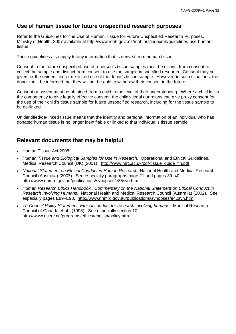# **Use of human tissue for future unspecified research purposes**

Refer to the Guidelines for the Use of Human Tissue for Future Unspecified Research Purposes, Ministry of Health, 2007 available at http://www.moh.govt.nz/moh.nsf/indexmh/guidelines-use-humantissue.

These guidelines also apply to any information that is derived from human tissue.

Consent to the future unspecified use of a person's tissue samples must be distinct from consent to collect the sample and distinct from consent to use the sample in specified research. Consent may be given for the unidentified or de-linked use of the donor's tissue sample. However, in such situations, the donor must be informed that they will not be able to withdraw their consent in the future.

Consent or assent must be obtained from a child to the level of their understanding. Where a child lacks the competency to give legally effective consent, the child's legal guardians can give proxy consent for the use of their child's tissue sample for future unspecified research, including for the tissue sample to be de-linked.

Unidentified/de-linked tissue means that the identity and personal information of an individual who has donated human tissue is no longer identifiable or linked to that individual's tissue sample.

# **Relevant documents that may be helpful**

- Human Tissue Act 2008
- *Human Tissue and Biological Samples for Use in Research*. Operational and Ethical Guidelines, Medical Research Council (UK) (2001). [http://www.mrc.ac.uk/pdf-tissue\\_guide\\_fin.pdf](http://www.mrc.ac.uk/pdf-tissue_guide_fin.pdf)
- *National Statement on Ethical Conduct in Human Research,* National Health and Medical Research Council (Australia) (2007). See especially paragraphs page 21 and pages 39–40. <http://www.nhmrc.gov.au/publications/synopses/e35syn.htm>
- *Human Research Ethics Handbook. Commentary on the National Statement on Ethical Conduct in Research Involving Humans*. National Health and Medical Research Council (Australia) (2002). See especially pages E89–E98. <http://www.nhmrc.gov.au/publications/synopses/e42syn.htm>
- *Tri-Council Policy Statement: Ethical conduct for research involving humans.* Medical Research Council of Canada et al. (1998). See especially section 10. <http://www.nserc.ca/programs/ethics/english/policy.htm>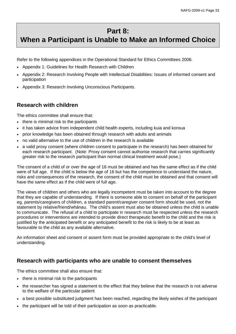# **Part 8:**

# **When a Participant is Unable to Make an Informed Choice**

Refer to the following appendices in the Operational Standard for Ethics Committees 2006.

- Appendix 1: Guidelines for Health Research with Children
- Appendix 2: Research Involving People with Intellectual Disabilities: Issues of informed consent and participation
- Appendix 3: Research Involving Unconscious Participants.

# **Research with children**

The ethics committee shall ensure that:

- there is minimal risk to the participants
- it has taken advice from independent child health experts, including kuia and koroua
- prior knowledge has been obtained through research with adults and animals
- no valid alternative to the use of children in the research is available
- a valid proxy consent (where children consent to participate in the research) has been obtained for each research participant. (Note: Proxy consent cannot authorise research that carries significantly greater risk to the research participant than normal clinical treatment would pose.)

The consent of a child of or over the age of 16 must be obtained and has the same effect as if the child were of full age. If the child is below the age of 16 but has the competence to understand the nature, risks and consequences of the research, the consent of the child must be obtained and that consent will have the same effect as if the child were of full age.

The views of children and others who are legally incompetent must be taken into account to the degree that they are capable of understanding. If there is someone able to consent on behalf of the participant eg, parents/caregivers of children, a standard parent/caregiver consent form should be used, not the statement by relative/friend/whānau. The child's assent must also be obtained unless the child is unable to communicate. The refusal of a child to participate in research must be respected unless the research procedures or interventions are intended to provide direct therapeutic benefit to the child and the risk is justified by the anticipated benefit or any anticipated benefit to the risk is likely to be at least as favourable to the child as any available alternative.

An information sheet and consent or assent form must be provided appropriate to the child's level of understanding.

# **Research with participants who are unable to consent themselves**

The ethics committee shall also ensure that:

- there is minimal risk to the participants
- the researcher has signed a statement to the effect that they believe that the research is not adverse to the welfare of the particular patient
- a best possible substituted judgment has been reached, regarding the likely wishes of the participant
- the participant will be told of their participation as soon as practicable.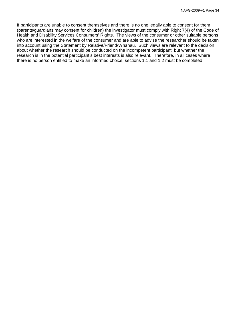If participants are unable to consent themselves and there is no one legally able to consent for them (parents/guardians may consent for children) the investigator must comply with Right 7(4) of the Code of Health and Disability Services Consumers' Rights. The views of the consumer or other suitable persons who are interested in the welfare of the consumer and are able to advise the researcher should be taken into account using the Statement by Relative/Friend/Whānau. Such views are relevant to the decision about whether the research should be conducted on the incompetent participant, but whether the research is in the potential participant's best interests is also relevant. Therefore, in all cases where there is no person entitled to make an informed choice, sections 1.1 and 1.2 must be completed.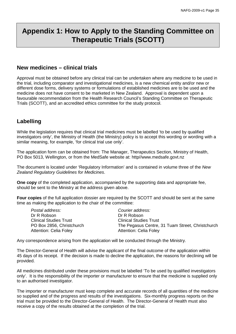# **Appendix 1: How to Apply to the Standing Committee on Therapeutic Trials (SCOTT)**

# **New medicines – clinical trials**

Approval must be obtained before any clinical trial can be undertaken where any medicine to be used in the trial, including comparator and investigational medicines, is a new chemical entity and/or new or different dose forms, delivery systems or formulations of established medicines are to be used and the medicine does not have consent to be marketed in New Zealand. Approval is dependent upon a favourable recommendation from the Health Research Council's Standing Committee on Therapeutic Trials (SCOTT), and an accredited ethics committee for the study protocol.

# **Labelling**

While the legislation requires that clinical trial medicines must be labelled 'to be used by qualified investigators only', the Ministry of Health (the Ministry) policy is to accept this wording or wording with a similar meaning, for example, 'for clinical trial use only'.

The application form can be obtained from: The Manager, Therapeutics Section, Ministry of Health, PO Box 5013, Wellington, or from the MedSafe website at: http//www.medsafe.govt.nz

The document is located under 'Regulatory Information' and is contained in volume three of the *New Zealand Regulatory Guidelines for Medicines*.

**One copy** of the completed application, accompanied by the supporting data and appropriate fee, should be sent to the Ministry at the address given above.

**Four copies** of the full application dossier are required by the SCOTT and should be sent at the same time as making the application to the chair of the committee:

| Postal address:               | Courier address:                                 |
|-------------------------------|--------------------------------------------------|
| Dr R Robson                   | Dr R Robson                                      |
| <b>Clinical Studies Trust</b> | <b>Clinical Studies Trust</b>                    |
| PO Box 2856, Christchurch     | The Pegasus Centre, 31 Tuam Street, Christchurch |
| Attention: Celia Foley        | <b>Attention: Celia Foley</b>                    |

Any correspondence arising from the application will be conducted through the Ministry.

The Director-General of Health will advise the applicant of the final outcome of the application within 45 days of its receipt. If the decision is made to decline the application, the reasons for declining will be provided.

All medicines distributed under these provisions must be labelled 'To be used by qualified investigators only'. It is the responsibility of the importer or manufacturer to ensure that the medicine is supplied only to an authorised investigator.

The importer or manufacturer must keep complete and accurate records of all quantities of the medicine so supplied and of the progress and results of the investigations. Six-monthly progress reports on the trial must be provided to the Director-General of Health. The Director-General of Health must also receive a copy of the results obtained at the completion of the trial.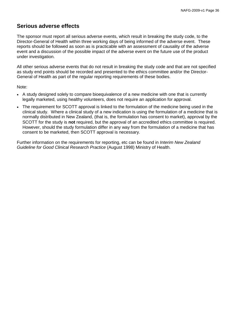# **Serious adverse effects**

The sponsor must report all serious adverse events, which result in breaking the study code, to the Director-General of Health within three working days of being informed of the adverse event. These reports should be followed as soon as is practicable with an assessment of causality of the adverse event and a discussion of the possible impact of the adverse event on the future use of the product under investigation.

All other serious adverse events that do not result in breaking the study code and that are not specified as study end points should be recorded and presented to the ethics committee and/or the Director-General of Health as part of the regular reporting requirements of these bodies.

Note:

- A study designed solely to compare bioequivalence of a new medicine with one that is currently legally marketed, using healthy volunteers, does not require an application for approval.
- The requirement for SCOTT approval is linked to the formulation of the medicine being used in the clinical study. Where a clinical study of a new indication is using the formulation of a medicine that is normally distributed in New Zealand, (that is, the formulation has consent to market), approval by the SCOTT for the study is **not** required, but the approval of an accredited ethics committee is required. However, should the study formulation differ in any way from the formulation of a medicine that has consent to be marketed, then SCOTT approval is necessary.

Further information on the requirements for reporting, etc can be found in *Interim New Zealand Guideline for Good Clinical Research Practice* (August 1998) Ministry of Health.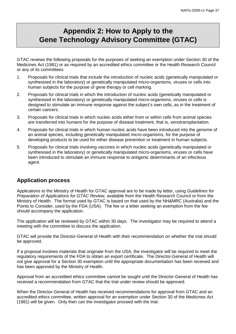# **Appendix 2: How to Apply to the Gene Technology Advisory Committee (GTAC)**

GTAC reviews the following proposals for the purposes of seeking an exemption under Section 30 of the Medicines Act (1981) or as required by an accredited ethics committee or the Health Research Council or any of its committees:

- 1. Proposals for clinical trials that include the introduction of nucleic acids (genetically manipulated or synthesised in the laboratory) or genetically manipulated micro-organisms, viruses or cells into human subjects for the purpose of gene therapy or cell marking.
- 2. Proposals for clinical trials in which the introduction of nucleic acids (genetically manipulated or synthesised in the laboratory) or genetically manipulated micro-organisms, viruses or cells is designed to stimulate an immune response against the subject's own cells, as in the treatment of certain cancers.
- 3. Proposals for clinical trials in which nucleic acids either from or within cells from animal species are transferred into humans for the purpose of disease treatment, that is, xenotransplantation.
- 4. Proposals for clinical trials in which human nucleic acids have been introduced into the genome of an animal species, including genetically manipulated micro-organisms, for the purpose of developing products to be used for either disease prevention or treatment in human subjects.
- 5. Proposals for clinical trials involving vaccines in which nucleic acids (genetically manipulated or synthesised in the laboratory) or genetically manipulated micro-organisms, viruses or cells have been introduced to stimulate an immune response to antigenic determinants of an infectious agent.

# **Application process**

Applications to the Ministry of Health for GTAC approval are to be made by letter, using *Guidelines for Preparation of Applications for GTAC Review,* available from the Health Research Council or from the Ministry of Health. The format used by GTAC is based on that used by the NH&MRC (Australia) and the Points to Consider, used by the FDA (USA). The fee or a letter seeking an exemption from the fee should accompany the application.

The application will be reviewed by GTAC within 30 days. The investigator may be required to attend a meeting with the committee to discuss the application.

GTAC will provide the Director-General of Health with their recommendation on whether the trial should be approved.

If a proposal involves materials that originate from the USA, the investigator will be required to meet the regulatory requirements of the FDA to obtain an export certificate. The Director-General of Health will not give approval for a Section 30 exemption until the appropriate documentation has been received and has been approved by the Ministry of Health.

Approval from an accredited ethics committee cannot be sought until the Director-General of Health has received a recommendation from GTAC that the trial under review should be approved.

When the Director-General of Health has received recommendations for approval from GTAC and an accredited ethics committee, written approval for an exemption under Section 30 of the Medicines Act (1981) will be given. Only then can the investigator proceed with the trial.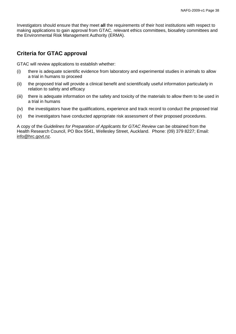Investigators should ensure that they meet **all** the requirements of their host institutions with respect to making applications to gain approval from GTAC, relevant ethics committees, biosafety committees and the Environmental Risk Management Authority (ERMA).

# **Criteria for GTAC approval**

GTAC will review applications to establish whether:

- (i) there is adequate scientific evidence from laboratory and experimental studies in animals to allow a trial in humans to proceed
- (ii) the proposed trial will provide a clinical benefit and scientifically useful information particularly in relation to safety and efficacy
- (iii) there is adequate information on the safety and toxicity of the materials to allow them to be used in a trial in humans
- (iv) the investigators have the qualifications, experience and track record to conduct the proposed trial
- (v) the investigators have conducted appropriate risk assessment of their proposed procedures.

A copy of the *Guidelines for Preparation of Applicants for GTAC Review* can be obtained from the Health Research Council, PO Box 5541, Wellesley Street, Auckland. Phone: (09) 379 8227; Email: [info@hrc.govt.nz.](mailto:info@hrc.govt.nz)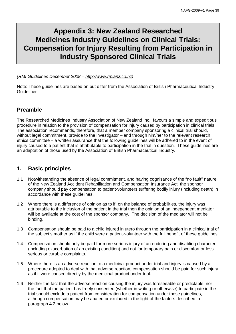# **Appendix 3: New Zealand Researched Medicines Industry Guidelines on Clinical Trials: Compensation for Injury Resulting from Participation in Industry Sponsored Clinical Trials**

*(RMI Guidelines December 2008 – [http://www.rmianz.co.nz\)](http://www.rmianz.co.nz/)*

Note: These guidelines are based on but differ from the Association of British Pharmaceutical Industry Guidelines.

# **Preamble**

The Researched Medicines Industry Association of New Zealand Inc. favours a simple and expeditious procedure in relation to the provision of compensation for injury caused by participation in clinical trials. The association recommends, therefore, that a member company sponsoring a clinical trial should, without legal commitment, provide to the investigator – and through him/her to the relevant research ethics committee – a written assurance that the following guidelines will be adhered to in the event of injury caused to a patient that is attributable to participation in the trial in question. These guidelines are an adaptation of those used by the Association of British Pharmaceutical Industry.

# **1. Basic principles**

- 1.1 Notwithstanding the absence of legal commitment, and having cognisance of the "no fault" nature of the New Zealand Accident Rehabilitation and Compensation Insurance Act, the sponsor company should pay compensation to patient-volunteers suffering bodily injury (including death) in accordance with these guidelines.
- 1.2 Where there is a difference of opinion as to if, on the balance of probabilities, the injury was attributable to the inclusion of the patient in the trial then the opinion of an independent mediator will be available at the cost of the sponsor company. The decision of the mediator will not be binding.
- 1.3 Compensation should be paid to a child injured in utero through the participation in a clinical trial of the subject's mother as if the child were a patient-volunteer with the full benefit of these guidelines.
- 1.4 Compensation should only be paid for more serious injury of an enduring and disabling character (including exacerbation of an existing condition) and not for temporary pain or discomfort or less serious or curable complaints.
- 1.5 Where there is an adverse reaction to a medicinal product under trial and injury is caused by a procedure adopted to deal with that adverse reaction, compensation should be paid for such injury as if it were caused directly by the medicinal product under trial.
- 1.6 Neither the fact that the adverse reaction causing the injury was foreseeable or predictable, nor the fact that the patient has freely consented (whether in writing or otherwise) to participate in the trial should exclude a patient from consideration for compensation under these guidelines, although compensation may be abated or excluded in the light of the factors described in paragraph 4.2 below.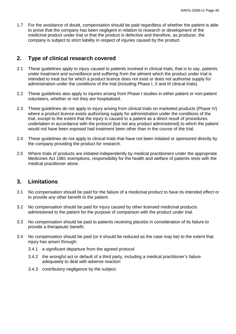1.7 For the avoidance of doubt, compensation should be paid regardless of whether the patient is able to prove that the company has been negligent in relation to research or development of the medicinal product under trial or that the product is defective and therefore, as producer, the company is subject to strict liability in respect of injuries caused by the product.

# **2. Type of clinical research covered**

- 2.1 These guidelines apply to injury caused to patients involved in clinical trials, that is to say, patients under treatment and surveillance and suffering from the ailment which the product under trial is intended to treat but for which a product licence does not exist or does not authorise supply for administration under the conditions of the trial (including Phase I, II and III clinical trials).
- 2.2 These guidelines also apply to injuries arising from Phase I studies in either patient or non-patient volunteers, whether or not they are hospitalised.
- 2.3 These guidelines do not apply to injury arising from clinical trials on marketed products (Phase IV) where a product licence exists authorising supply for administration under the conditions of the trial, except to the extent that the injury is caused to a patient as a direct result of procedures undertaken in accordance with the protocol (but not any product administered) to which the patient would not have been exposed had treatment been other than in the course of the trial.
- 2.4 These guidelines do not apply to clinical trials that have not been initiated or sponsored directly by the company providing the product for research.
- 2.5 Where trials of products are initiated independently by medical practitioners under the appropriate Medicines Act 1981 exemptions, responsibility for the health and welfare of patients rests with the medical practitioner alone.

## **3. Limitations**

- 3.1 No compensation should be paid for the failure of a medicinal product to have its intended effect or to provide any other benefit to the patient.
- 3.2 No compensation should be paid for injury caused by other licensed medicinal products administered to the patient for the purpose of comparison with the product under trial.
- 3.3 No compensation should be paid to patients receiving placebo in consideration of its failure to provide a therapeutic benefit.
- 3.4 No compensation should be paid (or it should be reduced as the case may be) to the extent that injury has arisen through:
	- 3.4.1 a significant departure from the agreed protocol
	- 3.4.2 the wrongful act or default of a third party, including a medical practitioner's failure adequately to deal with adverse reaction
	- 3.4.3 contributory negligence by the subject.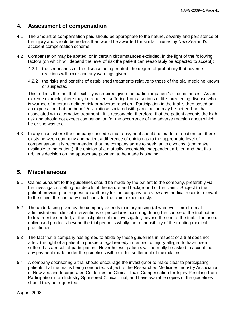# **4. Assessment of compensation**

- 4.1 The amount of compensation paid should be appropriate to the nature, severity and persistence of the injury and should be no less than would be awarded for similar injuries by New Zealand's accident compensation scheme.
- 4.2 Compensation may be abated, or in certain circumstances excluded, in the light of the following factors (on which will depend the level of risk the patient can reasonably be expected to accept):
	- 4.2.1 the seriousness of the disease being treated, the degree of probability that adverse reactions will occur and any warnings given
	- 4.2.2 the risks and benefits of established treatments relative to those of the trial medicine known or suspected.

This reflects the fact that flexibility is required given the particular patient's circumstances. As an extreme example, there may be a patient suffering from a serious or life-threatening disease who is warned of a certain defined risk or adverse reaction. Participation in the trial is then based on an expectation that the benefit/risk ratio associated with participation may be better than that associated with alternative treatment. It is reasonable, therefore, that the patient accepts the high risk and should not expect compensation for the occurrence of the adverse reaction about which he or she was told.

4.3 In any case, where the company concedes that a payment should be made to a patient but there exists between company and patient a difference of opinion as to the appropriate level of compensation, it is recommended that the company agree to seek, at its own cost (and make available to the patient), the opinion of a mutually acceptable independent arbiter, and that this arbiter's decision on the appropriate payment to be made is binding.

## **5. Miscellaneous**

- 5.1 Claims pursuant to the guidelines should be made by the patient to the company, preferably via the investigator, setting out details of the nature and background of the claim. Subject to the patient providing, on request, an authority for the company to review any medical records relevant to the claim, the company shall consider the claim expeditiously.
- 5.2 The undertaking given by the company extends to injury arising (at whatever time) from all administrations, clinical interventions or procedures occurring during the course of the trial but not to treatment extended, at the instigation of the investigator, beyond the end of the trial. The use of unlicensed products beyond the trial period is wholly the responsibility of the treating medical practitioner.
- 5.3 The fact that a company has agreed to abide by these guidelines in respect of a trial does not affect the right of a patient to pursue a legal remedy in respect of injury alleged to have been suffered as a result of participation. Nevertheless, patients will normally be asked to accept that any payment made under the guidelines will be in full settlement of their claims.
- 5.4 A company sponsoring a trial should encourage the investigator to make clear to participating patients that the trial is being conducted subject to the Researched Medicines Industry Association of New Zealand Incorporated Guidelines on Clinical Trials Compensation for Injury Resulting from Participation in an Industry-Sponsored Clinical Trial, and have available copies of the guidelines should they be requested.

August 2008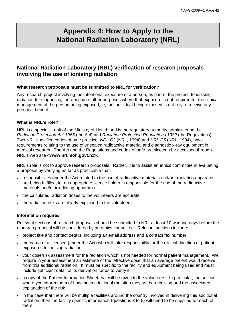# **Appendix 4: How to Apply to the National Radiation Laboratory (NRL)**

# **National Radiation Laboratory (NRL) verification of research proposals involving the use of ionising radiation**

#### **What research proposals must be submitted to NRL for verification?**

Any research project involving the intentional exposure of a person, as part of the project, to ionising radiation for diagnostic, therapeutic or other purposes where that exposure is not required for the clinical management of the person being exposed, ie, the individual being exposed is unlikely to receive any personal benefit.

#### **What is NRL's role?**

NRL is a specialist unit of the Ministry of Health and is the regulatory authority administering the *Radiation Protection Act 1965* (the Act) and *Radiation Protection Regulations 1982* (the Regulations)*.*  Two NRL specified codes of safe practice, *NRL C3* (NRL, 1994) and *NRL C5* (NRL, 1994), have requirements relating to the use of unsealed radioactive material and diagnostic x-ray equipment in medical research. The Act and the Regulations and codes of safe practice can be accessed through NRL's web site **<www.nrl.moh.govt.nz>.**

NRL's role is not to approve research proposals. Rather, it is to assist an ethics committee in evaluating a proposal by verifying as far as practicable that:

- responsibilities under the Act related to the use of radioactive materials and/or irradiating apparatus are being fulfilled, ie, an appropriate licence holder is responsible for the use of the radioactive materials and/or irradiating apparatus
- the calculated radiation doses to the volunteers are accurate
- the radiation risks are clearly explained to the volunteers.

#### **Information required**

Relevant sections of research proposals should be submitted to NRL at least 10 working days before the research proposal will be considered by an ethics committee. Relevant sections include:

- project title and contact details, including an email address and a contact fax number
- the name of a licensee (under the Act) who will take responsibility for the clinical direction of patient exposures to ionising radiation
- your dose/risk assessment for the radiation which is not needed for normal patient management. We require in your assessment an estimate of the 'effective dose' that an average patient would receive from this additional radiation. It must be specific to the facility and equipment being used and must include sufficient detail of its derivation for us to verify it
- a copy of the Patient Information Sheet that will be given to the volunteers. In particular, the section where you inform them of how much additional radiation they will be receiving and the associated explanation of the risk
- in the case that there will be multiple facilities around the country involved in delivering this additional radiation, then the facility specific information (questions 3 to 5) will need to be supplied for each of them.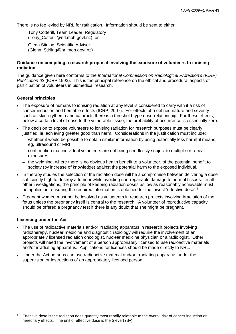There is no fee levied by NRL for ratification. Information should be sent to either:

Tony Cotterill, Team Leader, Regulatory [\(Tony\\_Cotterill@nrl.moh.govt.nz\)](mailto:Tony_Cotterill@nrl.moh.govt.nz); or

Glenn Stirling, Scientific Advisor (Glenn\_Stirling@nrl.moh.govt.nz)

#### **Guidance on compiling a research proposal involving the exposure of volunteers to ionising radiation**

The guidance given here conforms to the *International Commission on Radiological Protection's (ICRP) Publication 62* (ICRP 1993). This is the principal reference on the ethical and procedural aspects of participation of volunteers in biomedical research.

#### **General principles**

- The exposure of humans to ionising radiation at any level is considered to carry with it a risk of cancer induction and heritable effects (ICRP, 2007). For effects of a defined nature and severity such as skin erythema and cataracts there is a threshold-type dose-relationship. For these effects, below a certain level of dose to the vulnerable tissue, the probability of occurrence is essentially zero.
- The decision to expose volunteers to ionising radiation for research purposes must be clearly justified, ie, achieving greater good than harm. Considerations in the justification must include:
	- whether it would be possible to obtain similar information by using potentially less harmful means, eg, ultrasound or MRI
	- confirmation that individual volunteers are not being needlessly subject to multiple or repeat exposures
	- the weighing, where there is no obvious health benefit to a volunteer, of the potential benefit to society (by increase of knowledge) against the potential harm to the exposed individual.
- In therapy studies the selection of the radiation dose will be a compromise between delivering a dose sufficiently high to destroy a tumour while avoiding non-repairable damage to normal tissues. In all other investigations, the principle of keeping radiation doses as low as reasonably achievable must be applied, ie, ensuring the required information is obtained for the lowest 'effective dose'.<sup>[1](#page-46-0)</sup>
- Pregnant women must not be involved as volunteers in research projects involving irradiation of the fetus unless the pregnancy itself is central to the research. A volunteer of reproductive capacity should be offered a pregnancy test if there is any doubt that she might be pregnant.

#### **Licensing under the Act**

- The use of radioactive materials and/or irradiating apparatus in research projects involving radiotherapy, nuclear medicine and diagnostic radiology will require the involvement of an appropriately licensed radiation oncologist, nuclear medicine physician or a radiologist. Other projects will need the involvement of a person appropriately licensed to use radioactive materials and/or irradiating apparatus. Applications for licences should be made directly to NRL.
- Under the Act persons can use radioactive material and/or irradiating apparatus under the supervision or instructions of an appropriately licensed person.

<span id="page-46-0"></span><sup>&</sup>lt;sup>1</sup> Effective dose is the radiation dose quantity most readily relatable to the overall risk of cancer induction or hereditary effects. The unit of effective dose is the Sievert (Sv).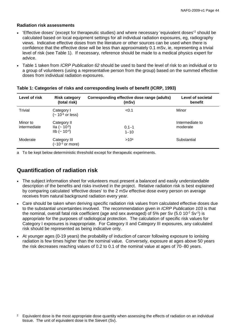#### **Radiation risk assessments**

- 'Effective doses' (except for therapeutic studies) and where necessary 'equivalent doses' [2](#page-47-0) should be calculated based on local equipment settings for all individual radiation exposures, eg, radiography views. Indicative effective doses from the literature or other sources can be used when there is confidence that the effective dose will be less than approximately 0.1 mSv, ie, representing a trivial level of risk (see Table 1). If necessary, reference should be made to a medical physics expert for advice.
- Table 1 taken from *ICRP Publication 62* should be used to band the level of risk to an individual or to a group of volunteers (using a representative person from the group) based on the summed effective doses from individual radiation exposures.

| Level of risk            | <b>Risk category</b><br>(total risk)                                              | Corresponding effective dose range (adults)<br>(mSv) | Level of societal<br>benefit |
|--------------------------|-----------------------------------------------------------------------------------|------------------------------------------------------|------------------------------|
| <b>Trivial</b>           | Category I<br>$(-10^{-6} \text{ or } \text{less})$                                | < 0.1                                                | Minor                        |
| Minor to<br>intermediate | Category II<br>lla (~ 10 <sup>-5</sup> )<br>$I_{\text{lb}}$ (~ 10 <sup>-4</sup> ) | $0.1 - 1$<br>$1 - 10$                                | Intermediate to<br>moderate  |
| Moderate                 | Category III<br>$(-10-3$ or more)                                                 | >10 <sup>a</sup>                                     | Substantial                  |

| Table 1: Categories of risks and corresponding levels of benefit (ICRP, 1993) |  |  |  |  |  |  |
|-------------------------------------------------------------------------------|--|--|--|--|--|--|
|-------------------------------------------------------------------------------|--|--|--|--|--|--|

a To be kept below deterministic threshold except for therapeutic experiments.

# **Quantification of radiation risk**

- The subject information sheet for volunteers must present a balanced and easily understandable description of the benefits and risks involved in the project. Relative radiation risk is best explained by comparing calculated 'effective doses' to the 2 mSv effective dose every person on average receives from natural background radiation every year.
- Care should be taken when deriving specific radiation risk values from calculated effective doses due to the substantial uncertainties involved. The recommendation given in *ICRP Publication 103* is that the nominal, overall fatal risk coefficient (age and sex averaged) of 5% per Sv (5.0 10<sup>-2</sup> Sv<sup>-1</sup>) is appropriate for the purposes of radiological protection. The calculation of specific risk values for Category I exposures is inappropriate. For Category II and Category III exposures, any calculated risk should be represented as being indicative only.
- At younger ages (0-19 years) the probability of induction of cancer following exposure to ionising radiation is few times higher than the nominal value. Conversely, exposure at ages above 50 years the risk decreases reaching values of 0.2 to 0.1 of the nominal value at ages of 70−80 years.

<span id="page-47-0"></span> $2<sup>2</sup>$  Equivalent dose is the most appropriate dose quantity when assessing the effects of radiation on an individual tissue. The unit of equivalent dose is the Sievert (Sv).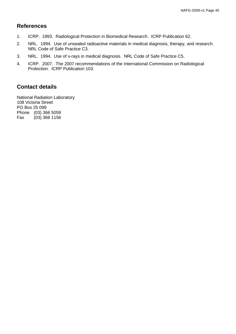# **References**

- 1. ICRP. 1993. Radiological Protection in Biomedical Research. ICRP Publication 62.
- 2. NRL. 1994. Use of unsealed radioactive materials in medical diagnosis, therapy, and research. NRL Code of Safe Practice C3.
- 3. NRL. 1994. Use of x-rays in medical diagnosis. NRL Code of Safe Practice C5.
- 4. ICRP. 2007. The 2007 recommendations of the International Commission on Radiological Protection. ICRP Publication 103.

# **Contact details**

National Radiation Laboratory 108 Victoria Street PO Box 25 099 Phone (03) 366 5059<br>Fax (03) 366 1156  $(03)$  366 1156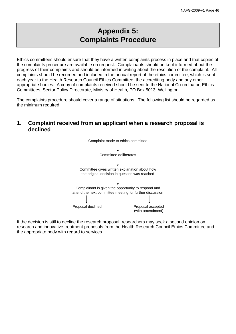# **Appendix 5: Complaints Procedure**

Ethics committees should ensure that they have a written complaints process in place and that copies of the complaints procedure are available on request. Complainants should be kept informed about the progress of their complaints and should be informed in writing about the resolution of the complaint. All complaints should be recorded and included in the annual report of the ethics committee, which is sent each year to the Health Research Council Ethics Committee, the accrediting body and any other appropriate bodies. A copy of complaints received should be sent to the National Co-ordinator, Ethics Committees, Sector Policy Directorate, Ministry of Health, PO Box 5013, Wellington.

The complaints procedure should cover a range of situations. The following list should be regarded as the minimum required.

## **1. Complaint received from an applicant when a research proposal is declined**



If the decision is still to decline the research proposal, researchers may seek a second opinion on research and innovative treatment proposals from the Health Research Council Ethics Committee and the appropriate body with regard to services.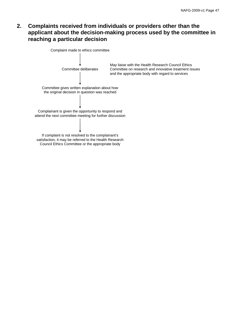# **2. Complaints received from individuals or providers other than the applicant about the decision-making process used by the committee in reaching a particular decision**



Council Ethics Committee or the appropriate body